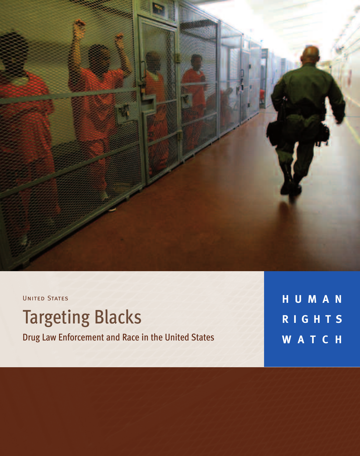

UNITED STATES

**Targeting Blacks** 

Drug Law Enforcement and Race in the United States

**H U M A N R I G H T S W A T C H**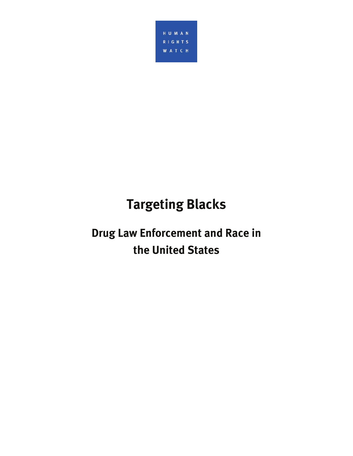

# **Targeting Blacks**

## **Drug Law Enforcement and Race in the United States**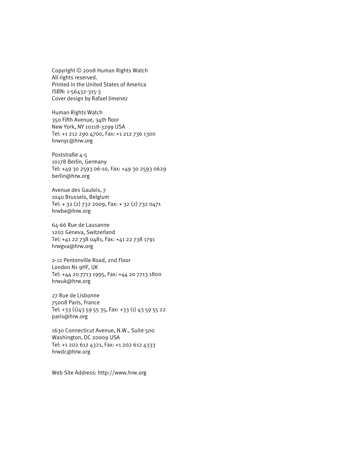Copyright © 2008 Human Rights Watch All rights reserved. Printed in the United States of America ISBN: 1-56432-315-3 Cover design by Rafael Jimenez

Human Rights Watch 350 Fifth Avenue, 34th floor New York, NY 10118-3299 USA Tel: +1 212 290 4700, Fax: +1 212 736 1300 hrwnyc@hrw.org

Poststraße 4-5 10178 Berlin, Germany Tel: +49 30 2593 06-10, Fax: +49 30 2593 0629 berlin@hrw.org

Avenue des Gaulois, 7 1040 Brussels, Belgium Tel: + 32 (2) 732 2009, Fax: + 32 (2) 732 0471 hrwbe@hrw.org

64-66 Rue de Lausanne 1202 Geneva, Switzerland Tel: +41 22 738 0481, Fax: +41 22 738 1791 hrwgva@hrw.org

2-12 Pentonville Road, 2nd Floor London N1 9HF, UK Tel: +44 20 7713 1995, Fax: +44 20 7713 1800 hrwuk@hrw.org

27 Rue de Lisbonne 75008 Paris, France Tel: +33 (1)43 59 55 35, Fax: +33 (1) 43 59 55 22 paris@hrw.org

1630 Connecticut Avenue, N.W., Suite 500 Washington, DC 20009 USA Tel: +1 202 612 4321, Fax: +1 202 612 4333 hrwdc@hrw.org

Web Site Address: http://www.hrw.org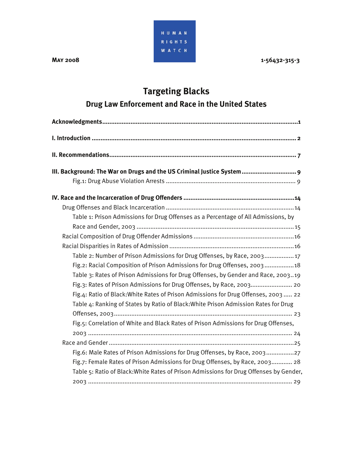HUMAN **RIGHTS WATCH** 

**MAY 2008** 1-56432-315-3

## **Targeting Blacks**

### **Drug Law Enforcement and Race in the United States**

| III. Background: The War on Drugs and the US Criminal Justice System 9                 |
|----------------------------------------------------------------------------------------|
|                                                                                        |
|                                                                                        |
|                                                                                        |
| Table 1: Prison Admissions for Drug Offenses as a Percentage of All Admissions, by     |
|                                                                                        |
|                                                                                        |
|                                                                                        |
| Table 2: Number of Prison Admissions for Drug Offenses, by Race, 2003 17               |
| Fig.2: Racial Composition of Prison Admissions for Drug Offenses, 200318               |
| Table 3: Rates of Prison Admissions for Drug Offenses, by Gender and Race, 200319      |
| Fig.3: Rates of Prison Admissions for Drug Offenses, by Race, 2003 20                  |
| Fig.4: Ratio of Black: White Rates of Prison Admissions for Drug Offenses, 2003 22     |
| Table 4: Ranking of States by Ratio of Black: White Prison Admission Rates for Drug    |
|                                                                                        |
| Fig.5: Correlation of White and Black Rates of Prison Admissions for Drug Offenses,    |
|                                                                                        |
|                                                                                        |
| Fig.6: Male Rates of Prison Admissions for Drug Offenses, by Race, 200327              |
| Fig.7: Female Rates of Prison Admissions for Drug Offenses, by Race, 2003 28           |
| Table 5: Ratio of Black: White Rates of Prison Admissions for Drug Offenses by Gender, |
|                                                                                        |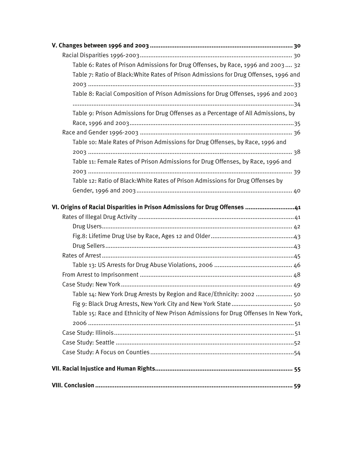| Table 6: Rates of Prison Admissions for Drug Offenses, by Race, 1996 and 2003 32      |
|---------------------------------------------------------------------------------------|
| Table 7: Ratio of Black: White Rates of Prison Admissions for Drug Offenses, 1996 and |
|                                                                                       |
| Table 8: Racial Composition of Prison Admissions for Drug Offenses, 1996 and 2003     |
| Table 9: Prison Admissions for Drug Offenses as a Percentage of All Admissions, by    |
|                                                                                       |
|                                                                                       |
| Table 10: Male Rates of Prison Admissions for Drug Offenses, by Race, 1996 and        |
|                                                                                       |
| Table 11: Female Rates of Prison Admissions for Drug Offenses, by Race, 1996 and      |
|                                                                                       |
| Table 12: Ratio of Black: White Rates of Prison Admissions for Drug Offenses by       |
|                                                                                       |
| VI. Origins of Racial Disparities in Prison Admissions for Drug Offenses 41           |
|                                                                                       |
|                                                                                       |
|                                                                                       |
|                                                                                       |
|                                                                                       |
|                                                                                       |
|                                                                                       |
|                                                                                       |
| Table 14: New York Drug Arrests by Region and Race/Ethnicity: 2002  50                |
|                                                                                       |
| Table 15: Race and Ethnicity of New Prison Admissions for Drug Offenses In New York,  |
|                                                                                       |
|                                                                                       |
|                                                                                       |
|                                                                                       |
|                                                                                       |
|                                                                                       |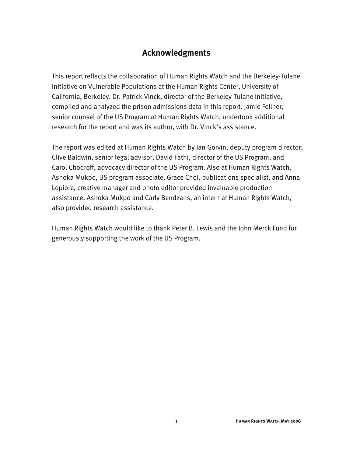#### **Acknowledgments**

This report reflects the collaboration of Human Rights Watch and the Berkeley-Tulane Initiative on Vulnerable Populations at the Human Rights Center, University of California, Berkeley. Dr. Patrick Vinck, director of the Berkeley-Tulane Initiative, compiled and analyzed the prison admissions data in this report. Jamie Fellner, senior counsel of the US Program at Human Rights Watch, undertook additional research for the report and was its author, with Dr. Vinck's assistance.

The report was edited at Human Rights Watch by Ian Gorvin, deputy program director; Clive Baldwin, senior legal advisor; David Fathi, director of the US Program; and Carol Chodroff, advocacy director of the US Program. Also at Human Rights Watch, Ashoka Mukpo, US program associate, Grace Choi, publications specialist, and Anna Lopiore, creative manager and photo editor provided invaluable production assistance. Ashoka Mukpo and Carly Bendzans, an intern at Human Rights Watch, also provided research assistance.

Human Rights Watch would like to thank Peter B. Lewis and the John Merck Fund for generously supporting the work of the US Program.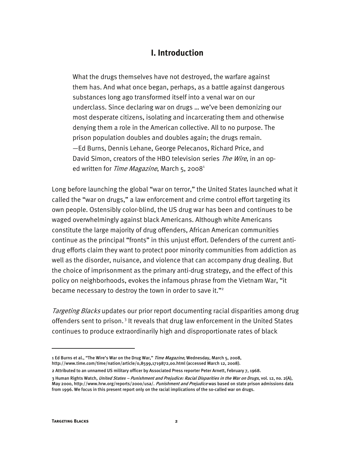#### **I. Introduction**

What the drugs themselves have not destroyed, the warfare against them has. And what once began, perhaps, as a battle against dangerous substances long ago transformed itself into a venal war on our underclass. Since declaring war on drugs … we've been demonizing our most desperate citizens, isolating and incarcerating them and otherwise denying them a role in the American collective. All to no purpose. The prison population doubles and doubles again; the drugs remain. —Ed Burns, Dennis Lehane, George Pelecanos, Richard Price, and David Simon, creators of the HBO television series The Wire, in an oped written for *Time Magazine*, March 5, 2008<sup>1</sup>

Long before launching the global "war on terror," the United States launched what it called the "war on drugs," a law enforcement and crime control effort targeting its own people. Ostensibly color-blind, the US drug war has been and continues to be waged overwhelmingly against black Americans. Although white Americans constitute the large majority of drug offenders, African American communities continue as the principal "fronts" in this unjust effort. Defenders of the current antidrug efforts claim they want to protect poor minority communities from addiction as well as the disorder, nuisance, and violence that can accompany drug dealing. But the choice of imprisonment as the primary anti-drug strategy, and the effect of this policy on neighborhoods, evokes the infamous phrase from the Vietnam War, "it became necessary to destroy the town in order to save it."<sup>2</sup>

Targeting Blacks updates our prior report documenting racial disparities among drug offenders sent to prison.<sup>3</sup> It reveals that drug law enforcement in the United States continues to produce extraordinarily high and disproportionate rates of black

j

<sup>1</sup> Ed Burns et al., "The Wire's War on the Drug War," Time Magazine, Wednesday, March 5, 2008, http://www.time.com/time/nation/article/0,8599,1719872,00.html (accessed March 12, 2008).

<sup>2</sup> Attributed to an unnamed US military officer by Associated Press reporter Peter Arnett, February 7, 1968.

<sup>3</sup> Human Rights Watch, United States – Punishment and Prejudice: Racial Disparities in the War on Drugs, vol. 12, no. 2(A), May 2000, http://www.hrw.org/reports/2000/usa/. Punishment and Prejudice was based on state prison admissions data from 1996. We focus in this present report only on the racial implications of the so-called war on drugs.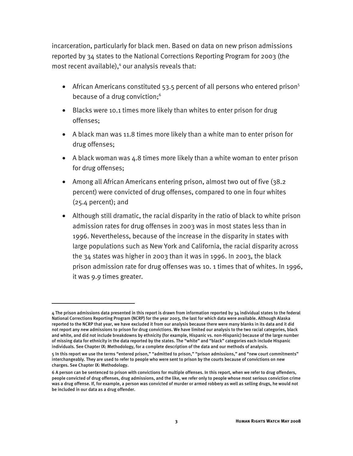incarceration, particularly for black men. Based on data on new prison admissions reported by 34 states to the National Corrections Reporting Program for 2003 (the most recent available),<sup>4</sup> our analysis reveals that:

- African Americans constituted 53.5 percent of all persons who entered prison<sup>5</sup> because of a drug conviction;<sup>6</sup>
- Blacks were 10.1 times more likely than whites to enter prison for drug offenses;
- A black man was 11.8 times more likely than a white man to enter prison for drug offenses;
- A black woman was 4.8 times more likely than a white woman to enter prison for drug offenses;
- Among all African Americans entering prison, almost two out of five (38.2 percent) were convicted of drug offenses, compared to one in four whites (25.4 percent); and
- Although still dramatic, the racial disparity in the ratio of black to white prison admission rates for drug offenses in 2003 was in most states less than in 1996. Nevertheless, because of the increase in the disparity in states with large populations such as New York and California, the racial disparity across the 34 states was higher in 2003 than it was in 1996. In 2003, the black prison admission rate for drug offenses was 10. 1 times that of whites. In 1996, it was 9.9 times greater.

I

<sup>4</sup> The prison admissions data presented in this report is drawn from information reported by 34 individual states to the federal National Corrections Reporting Program (NCRP) for the year 2003, the last for which data were available. Although Alaska reported to the NCRP that year, we have excluded it from our analysis because there were many blanks in its data and it did not report any new admissions to prison for drug convictions. We have limited our analysis to the two racial categories, black and white, and did not include breakdowns by ethnicity (for example, Hispanic vs. non-Hispanic) because of the large number of missing data for ethnicity in the data reported by the states. The "white" and "black" categories each include Hispanic individuals. See Chapter IX: Methodology, for a complete description of the data and our methods of analysis.

<sup>5</sup> In this report we use the terms "entered prison," "admitted to prison," "prison admissions," and "new court commitments" interchangeably. They are used to refer to people who were sent to prison by the courts because of convictions on new charges. See Chapter IX: Methodology.

<sup>6</sup> A person can be sentenced to prison with convictions for multiple offenses. In this report, when we refer to drug offenders, people convicted of drug offenses, drug admissions, and the like, we refer only to people whose most serious conviction crime was a drug offense. If, for example, a person was convicted of murder or armed robbery as well as selling drugs, he would not be included in our data as a drug offender.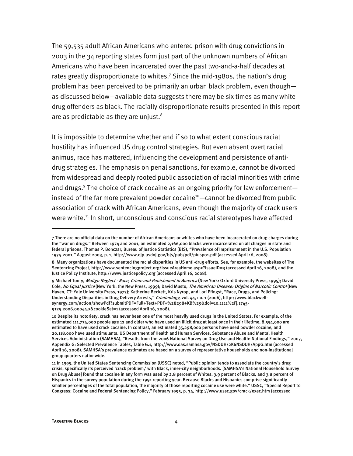The 59,535 adult African Americans who entered prison with drug convictions in 2003 in the 34 reporting states form just part of the unknown numbers of African Americans who have been incarcerated over the past two-and-a-half decades at rates greatly disproportionate to whites.<sup>7</sup> Since the mid-1980s, the nation's drug problem has been perceived to be primarily an urban black problem, even though as discussed below—available data suggests there may be six times as many white drug offenders as black. The racially disproportionate results presented in this report are as predictable as they are unjust. $8$ 

It is impossible to determine whether and if so to what extent conscious racial hostility has influenced US drug control strategies. But even absent overt racial animus, race has mattered, influencing the development and persistence of antidrug strategies. The emphasis on penal sanctions, for example, cannot be divorced from widespread and deeply rooted public association of racial minorities with crime and drugs.<sup>9</sup> The choice of crack cocaine as an ongoing priority for law enforcementinstead of the far more prevalent powder cocaine<sup>10</sup>—cannot be divorced from public association of crack with African Americans, even though the majority of crack users were white.<sup>11</sup> In short, unconscious and conscious racial stereotypes have affected

-

<sup>7</sup> There are no official data on the number of African Americans or whites who have been incarcerated on drug charges during the "war on drugs." Between 1974 and 2001, an estimated 2,166,000 blacks were incarcerated on all charges in state and federal prisons. Thomas P. Bonczar, Bureau of Justice Statistics (BJS), "Prevalence of Imprisonment in the U.S. Population 1974-2001," August 2003, p. 1, http://www.ojp.usdoj.gov/bjs/pub/pdf/piusp01.pdf (accessed April 16, 2008).

<sup>8</sup> Many organizations have documented the racial disparities in US anti-drug efforts. See, for example, the websites of The Sentencing Project, http://www.sentencingproject.org/IssueAreaHome.aspx?IssueID=3 (accessed April 16, 2008), and the Justice Policy Institute, http://www.justicepolicy.org (accessed April 16, 2008).

<sup>9</sup> Michael Tonry, Malign Neglect - Race, Crime and Punishment in America (New York: Oxford University Press, 1995); David Cole, No Equal Justice (New York: the New Press, 1999); David Musto, The American Disease: Origins of Narcotic Control (New Haven, CT: Yale University Press, 1973); Katherine Beckett, Kris Nyrop, and Lori Pfingst, "Race, Drugs, and Policing: Understanding Disparities in Drug Delivery Arrests," Criminology, vol. 44, no. 1 (2006), http://www.blackwellsynergy.com/action/showPdf?submitPDF=Full+Text+PDF+%28298+KB%29&doi=10.1111%2Fj.1745- 9125.2006.00044.x&cookieSet=1 (accessed April 16, 2008).

<sup>10</sup> Despite its notoriety, crack has never been one of the most heavily used drugs in the United States. For example, of the estimated 111,774,000 people age 12 and older who have used an illicit drug at least once in their lifetime, 8,554,000 are estimated to have used crack cocaine. In contrast, an estimated 35,298,000 persons have used powder cocaine, and 20,118,000 have used stimulants. US Department of Health and Human Services, Substance Abuse and Mental Health Services Administration (SAMHSA), "Results from the 2006 National Survey on Drug Use and Health: National Findings," 2007, Appendix G: Selected Prevalence Tables, Table G.1, http://www.oas.samhsa.gov/NSDUH/2K6NSDUH/AppG.htm (accessed April 16, 2008). SAMHSA's prevalence estimates are based on a survey of representative households and non-institutional group quarters nationwide.

<sup>11</sup> In 1995, the United States Sentencing Commission (USSC) noted, "Public opinion tends to associate the country's drug crisis, specifically its perceived 'crack problem,' with Black, inner-city neighborhoods. [SAMHSA's National Household Survey on Drug Abuse] found that cocaine in any form was used by 2.8 percent of Whites, 3.9 percent of Blacks, and 3.8 percent of Hispanics in the survey population during the 1991 reporting year. Because Blacks and Hispanics comprise significantly smaller percentages of the total population, the majority of those reporting cocaine use were white." USSC, "Special Report to Congress: Cocaine and Federal Sentencing Policy," February 1995, p. 34, http://www.ussc.gov/crack/exec.htm (accessed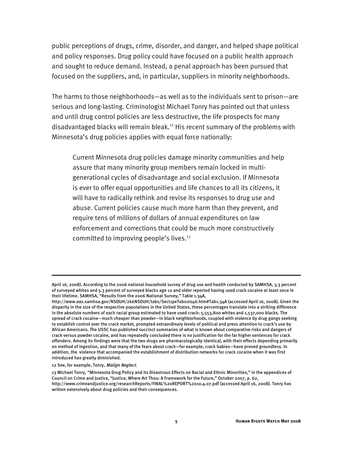public perceptions of drugs, crime, disorder, and danger, and helped shape political and policy responses. Drug policy could have focused on a public health approach and sought to reduce demand. Instead, a penal approach has been pursued that focused on the suppliers, and, in particular, suppliers in minority neighborhoods.

The harms to those neighborhoods—as well as to the individuals sent to prison—are serious and long-lasting. Criminologist Michael Tonry has pointed out that unless and until drug control policies are less destructive, the life prospects for many disadvantaged blacks will remain bleak.<sup>12</sup> His recent summary of the problems with Minnesota's drug policies applies with equal force nationally:

Current Minnesota drug policies damage minority communities and help assure that many minority group members remain locked in multigenerational cycles of disadvantage and social exclusion. If Minnesota is ever to offer equal opportunities and life chances to all its citizens, it will have to radically rethink and revise its responses to drug use and abuse. Current policies cause much more harm than they prevent, and require tens of millions of dollars of annual expenditures on law enforcement and corrections that could be much more constructively committed to improving people's lives.<sup>13</sup>

#### 12 See, for example, Tonry, Malign Neglect.

-

April 16, 2008). According to the 2006 national household survey of drug use and health conducted by SAMHSA, 3.3 percent of surveyed whites and 5.3 percent of surveyed blacks age 12 and older reported having used crack cocaine at least once in their lifetime. SAMHSA, "Results from the 2006 National Survey," Table 1.34A,

http://www.oas.samhsa.gov/NSDUH/2k6NSDUH/tabs/Sect1peTabs1to46.htm#Tab1.34A (accessed April 16, 2008). Given the disparity in the size of the respective populations in the United States, these percentages translate into a striking difference in the absolute numbers of each racial group estimated to have used crack: 5,553,800 whites and 1,537,000 blacks. The spread of crack cocaine—much cheaper than powder—in black neighborhoods, coupled with violence by drug gangs seeking to establish control over the crack market, prompted extraordinary levels of political and press attention to crack's use by African Americans. The USSC has published succinct summaries of what is known about comparative risks and dangers of crack versus powder cocaine, and has repeatedly concluded there is no justification for the far higher sentences for crack offenders. Among its findings were that the two drugs are pharmacologically identical, with their effects depending primarily on method of ingestion, and that many of the fears about crack—for example, crack babies—have proved groundless. In addition, the violence that accompanied the establishment of distribution networks for crack cocaine when it was first introduced has greatly diminished.

<sup>13</sup> Michael Tonry, "Minnesota Drug Policy and its Disastrous Effects on Racial and Ethnic Minorities," in the appendices of Council on Crime and Justice, "Justice, Where Art Thou: A Framework for the Future," October 2007, p. 62, http://www.crimeandjustice.org/researchReports/FINAL%20REPORT%2010.4.07.pdf (accessed April 16, 2008). Tonry has written extensively about drug policies and their consequences.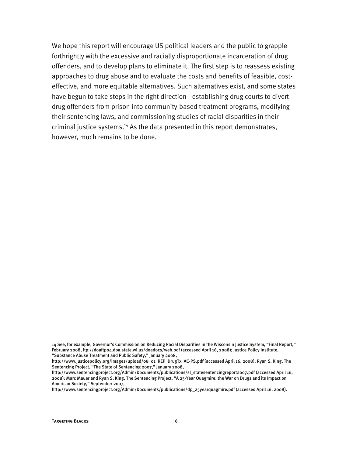We hope this report will encourage US political leaders and the public to grapple forthrightly with the excessive and racially disproportionate incarceration of drug offenders, and to develop plans to eliminate it. The first step is to reassess existing approaches to drug abuse and to evaluate the costs and benefits of feasible, costeffective, and more equitable alternatives. Such alternatives exist, and some states have begun to take steps in the right direction—establishing drug courts to divert drug offenders from prison into community-based treatment programs, modifying their sentencing laws, and commissioning studies of racial disparities in their criminal justice systems.<sup>14</sup> As the data presented in this report demonstrates, however, much remains to be done.

j

<sup>14</sup> See, for example, Governor's Commission on Reducing Racial Disparities in the Wisconsin Justice System, "Final Report," February 2008, ftp://doaftp04.doa.state.wi.us/doadocs/web.pdf (accessed April 16, 2008); Justice Policy Institute, "Substance Abuse Treatment and Public Safety," January 2008,

http://www.justicepolicy.org/images/upload/08\_01\_REP\_DrugTx\_AC-PS.pdf (accessed April 16, 2008); Ryan S. King, The Sentencing Project, "The State of Sentencing 2007," January 2008,

http://www.sentencingproject.org/Admin/Documents/publications/sl\_statesentencingreport2007.pdf (accessed April 16, 2008); Marc Mauer and Ryan S. King, The Sentencing Project, "A 25-Year Quagmire: the War on Drugs and its Impact on American Society," September 2007,

http://www.sentencingproject.org/Admin/Documents/publications/dp\_25yearquagmire.pdf (accessed April 16, 2008).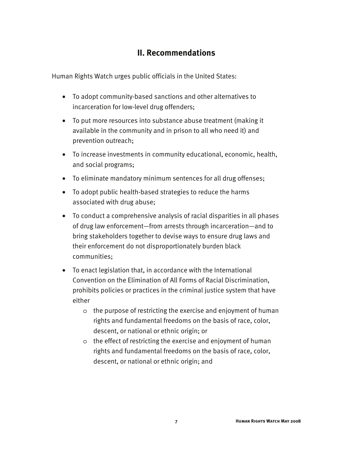#### **II. Recommendations**

Human Rights Watch urges public officials in the United States:

- To adopt community-based sanctions and other alternatives to incarceration for low-level drug offenders;
- To put more resources into substance abuse treatment (making it available in the community and in prison to all who need it) and prevention outreach;
- To increase investments in community educational, economic, health, and social programs;
- To eliminate mandatory minimum sentences for all drug offenses;
- To adopt public health-based strategies to reduce the harms associated with drug abuse;
- To conduct a comprehensive analysis of racial disparities in all phases of drug law enforcement—from arrests through incarceration—and to bring stakeholders together to devise ways to ensure drug laws and their enforcement do not disproportionately burden black communities;
- To enact legislation that, in accordance with the International Convention on the Elimination of All Forms of Racial Discrimination, prohibits policies or practices in the criminal justice system that have either
	- o the purpose of restricting the exercise and enjoyment of human rights and fundamental freedoms on the basis of race, color, descent, or national or ethnic origin; or
	- o the effect of restricting the exercise and enjoyment of human rights and fundamental freedoms on the basis of race, color, descent, or national or ethnic origin; and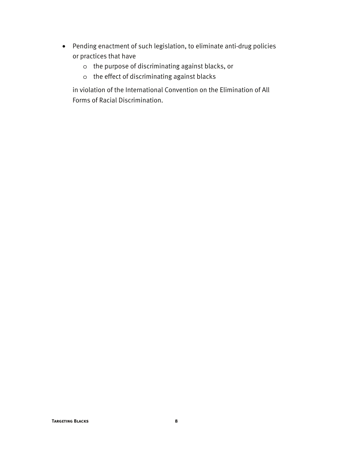- Pending enactment of such legislation, to eliminate anti-drug policies or practices that have
	- o the purpose of discriminating against blacks, or
	- o the effect of discriminating against blacks

in violation of the International Convention on the Elimination of All Forms of Racial Discrimination.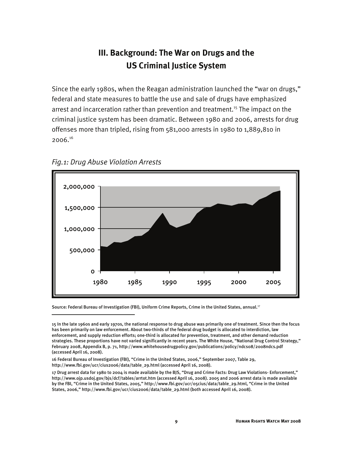### **III. Background: The War on Drugs and the US Criminal Justice System**

Since the early 1980s, when the Reagan administration launched the "war on drugs," federal and state measures to battle the use and sale of drugs have emphasized arrest and incarceration rather than prevention and treatment.15 The impact on the criminal justice system has been dramatic. Between 1980 and 2006, arrests for drug offenses more than tripled, rising from 581,000 arrests in 1980 to 1,889,810 in 2006.16





I

Source: Federal Bureau of Investigation (FBI), Uniform Crime Reports, Crime in the United States, annual.<sup>17</sup>

<sup>15</sup> In the late 1960s and early 1970s, the national response to drug abuse was primarily one of treatment. Since then the focus has been primarily on law enforcement. About two-thirds of the federal drug budget is allocated to interdiction, law enforcement, and supply reduction efforts; one-third is allocated for prevention, treatment, and other demand reduction strategies. These proportions have not varied significantly in recent years. The White House, "National Drug Control Strategy," February 2008, Appendix B, p. 71, http://www.whitehousedrugpolicy.gov/publications/policy/ndcs08/2008ndcs.pdf (accessed April 16, 2008).

<sup>16</sup> Federal Bureau of Investigation (FBI), "Crime in the United States, 2006," September 2007, Table 29, http://www.fbi.gov/ucr/cius2006/data/table\_29.html (accessed April 16, 2008).

<sup>17</sup> Drug arrest data for 1980 to 2004 is made available by the BJS, "Drug and Crime Facts: Drug Law Violations- Enforcement," http://www.ojp.usdoj.gov/bjs/dcf/tables/arrtot.htm (accessed April 16, 2008). 2005 and 2006 arrest data is made available by the FBI, "Crime in the United States, 2005," http://www.fbi.gov/ucr/05cius/data/table\_29.html, "Crime in the United States, 2006," http://www.fbi.gov/ucr/cius2006/data/table\_29.html (both accessed April 16, 2008).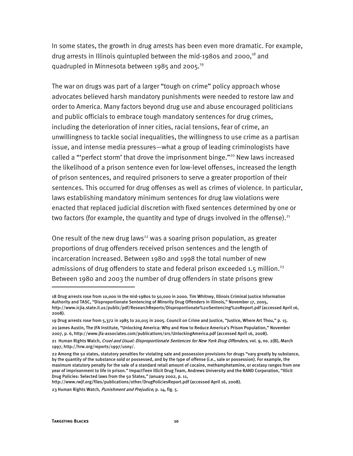In some states, the growth in drug arrests has been even more dramatic. For example, drug arrests in Illinois quintupled between the mid-1980s and 2000, $18$  and quadrupled in Minnesota between 1985 and 2005.<sup>19</sup>

The war on drugs was part of a larger "tough on crime" policy approach whose advocates believed harsh mandatory punishments were needed to restore law and order to America. Many factors beyond drug use and abuse encouraged politicians and public officials to embrace tough mandatory sentences for drug crimes, including the deterioration of inner cities, racial tensions, fear of crime, an unwillingness to tackle social inequalities, the willingness to use crime as a partisan issue, and intense media pressures—what a group of leading criminologists have called a "'perfect storm' that drove the imprisonment binge."<sup>20</sup> New laws increased the likelihood of a prison sentence even for low-level offenses, increased the length of prison sentences, and required prisoners to serve a greater proportion of their sentences. This occurred for drug offenses as well as crimes of violence. In particular, laws establishing mandatory minimum sentences for drug law violations were enacted that replaced judicial discretion with fixed sentences determined by one or two factors (for example, the quantity and type of drugs involved in the offense). $^{21}$ 

One result of the new drug laws<sup>22</sup> was a soaring prison population, as greater proportions of drug offenders received prison sentences and the length of incarceration increased. Between 1980 and 1998 the total number of new admissions of drug offenders to state and federal prison exceeded 1.5 million.<sup>23</sup> Between 1980 and 2003 the number of drug offenders in state prisons grew

http://www.rwjf.org/files/publications/other/DrugPoliciesReport.pdf (accessed April 16, 2008).

-

<sup>18</sup> Drug arrests rose from 10,000 in the mid-1980s to 50,000 in 2000. Tim Whitney, Illinois Criminal Justice Information Authority and TASC, "Disproportionate Sentencing of Minority Drug Offenders in Illinois," November 17, 2005, http://www.icjia.state.il.us/public/pdf/ResearchReports/Disproportionate%20Sentencing%20Report.pdf (accessed April 16, 2008).

<sup>19</sup> Drug arrests rose from 5,372 in 1985 to 20,015 in 2005. Council on Crime and Justice, "Justice, Where Art Thou," p. 15.

<sup>20</sup> James Austin, The JFA Institute, "Unlocking America: Why and How to Reduce America's Prison Population," November 2007, p. 6, http://www.jfa-associates.com/publications/srs/UnlockingAmerica.pdf (accessed April 16, 2008).

<sup>21</sup> Human Rights Watch, Cruel and Usual: Disproportionate Sentences for New York Drug Offenders, vol. 9, no. 2(B), March 1997, http://hrw.org/reports/1997/usny/.

<sup>22</sup> Among the 50 states, statutory penalties for violating sale and possession provisions for drugs "vary greatly by substance, by the quantity of the substance sold or possessed, and by the type of offense (i.e., sale or possession). For example, the maximum statutory penalty for the sale of a standard retail amount of cocaine, methamphetamine, or ecstasy ranges from one year of imprisonment to life in prison." ImpactTeen Illicit Drug Team, Andrews University and the RAND Corporation, "Illicit Drug Policies: Selected laws from the 50 States," January 2002, p. 11,

<sup>23</sup> Human Rights Watch, *Punishment and Prejudice*, p. 14, fig. 5.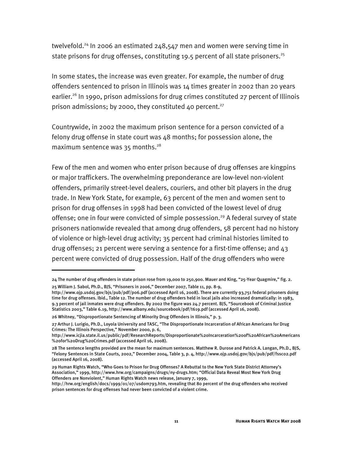twelvefold.<sup>24</sup> In 2006 an estimated 248,547 men and women were serving time in state prisons for drug offenses, constituting 19.5 percent of all state prisoners.<sup>25</sup>

In some states, the increase was even greater. For example, the number of drug offenders sentenced to prison in Illinois was 14 times greater in 2002 than 20 years earlier.<sup>26</sup> In 1990, prison admissions for drug crimes constituted 27 percent of Illinois prison admissions; by 2000, they constituted 40 percent.<sup>27</sup>

Countrywide, in 2002 the maximum prison sentence for a person convicted of a felony drug offense in state court was 48 months; for possession alone, the maximum sentence was  $35$  months.<sup>28</sup>

Few of the men and women who enter prison because of drug offenses are kingpins or major traffickers. The overwhelming preponderance are low-level non-violent offenders, primarily street-level dealers, couriers, and other bit players in the drug trade. In New York State, for example, 63 percent of the men and women sent to prison for drug offenses in 1998 had been convicted of the lowest level of drug offense; one in four were convicted of simple possession.<sup>29</sup> A federal survey of state prisoners nationwide revealed that among drug offenders, 58 percent had no history of violence or high-level drug activity; 35 percent had criminal histories limited to drug offenses; 21 percent were serving a sentence for a first-time offense; and 43 percent were convicted of drug possession. Half of the drug offenders who were

I

<sup>24</sup> The number of drug offenders in state prison rose from 19,000 to 250,900. Mauer and King, "25-Year Quagmire," fig. 2. 25 William J. Sabol, Ph.D., BJS, "Prisoners in 2006," December 2007, Table 11, pp. 8-9,

http://www.ojp.usdoj.gov/bjs/pub/pdf/p06.pdf (accessed April 16, 2008). There are currently 93,751 federal prisoners doing time for drug offenses. Ibid., Table 12. The number of drug offenders held in local jails also increased dramatically: in 1983, 9.3 percent of jail inmates were drug offenders. By 2002 the figure was 24.7 percent. BJS, "Sourcebook of Criminal Justice Statistics 2003," Table 6.19, http://www.albany.edu/sourcebook/pdf/t619.pdf (accessed April 16, 2008).

<sup>26</sup> Whitney, "Disproportionate Sentencing of Minority Drug Offenders in Illinois," p. 3.

<sup>27</sup> Arthur J. Lurigio, Ph.D., Loyola University and TASC, "The Disproportionate Incarceration of African Americans for Drug Crimes: The Illinois Perspective," November 2000, p. 6,

http://www.icjia.state.il.us/public/pdf/ResearchReports/Disproportionate%20Incarceration%20of%20African%20Americans %20for%20Drug%20Crimes.pdf (accessed April 16, 2008).

<sup>28</sup> The sentence lengths provided are the mean for maximum sentences. Matthew R. Durose and Patrick A. Langan, Ph.D., BJS, "Felony Sentences in State Courts, 2002," December 2004, Table 3, p. 4, http://www.ojp.usdoj.gov/bjs/pub/pdf/fssc02.pdf (accessed April 16, 2008).

<sup>29</sup> Human Rights Watch, "Who Goes to Prison for Drug Offenses? A Rebuttal to the New York State District Attorney's Association," 1999, http://www.hrw.org/campaigns/drugs/ny-drugs.htm; "Official Data Reveal Most New York Drug Offenders are Nonviolent," Human Rights Watch news release, January 7, 1999,

http://hrw.org/english/docs/1999/01/07/usdom793.htm, revealing that 80 percent of the drug offenders who received prison sentences for drug offenses had never been convicted of a violent crime.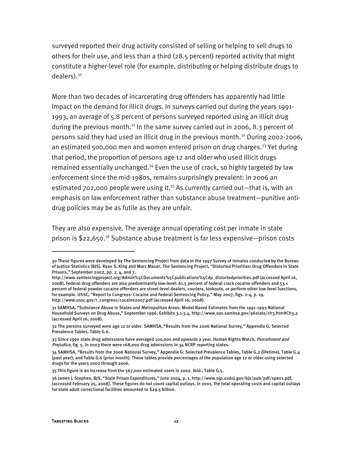surveyed reported their drug activity consisted of selling or helping to sell drugs to others for their use, and less than a third (28.5 percent) reported activity that might constitute a higher-level role (for example, distributing or helping distribute drugs to dealers).<sup>30</sup>

More than two decades of incarcerating drug offenders has apparently had little impact on the demand for illicit drugs. In surveys carried out during the years 1991- 1993, an average of 5.8 percent of persons surveyed reported using an illicit drug during the previous month.<sup>31</sup> In the same survey carried out in 2006, 8.3 percent of persons said they had used an illicit drug in the previous month.<sup>32</sup> During 2002-2006, an estimated 500,000 men and women entered prison on drug charges.<sup>33</sup> Yet during that period, the proportion of persons age 12 and older who used illicit drugs remained essentially unchanged.<sup>34</sup> Even the use of crack, so highly targeted by law enforcement since the mid-1980s, remains surprisingly prevalent: in 2006 an estimated 702,000 people were using it.<sup>35</sup> As currently carried out—that is, with an emphasis on law enforcement rather than substance abuse treatment—punitive antidrug policies may be as futile as they are unfair.

They are also expensive. The average annual operating cost per inmate in state prison is  $$22,650.<sup>36</sup>$  Substance abuse treatment is far less expensive—prison costs

j

<sup>30</sup> These figures were developed by The Sentencing Project from data in the 1997 Survey of Inmates conducted by the Bureau of Justice Statistics (BJS). Ryan S. King and Marc Mauer, The Sentencing Project, "Distorted Priorities: Drug Offenders in State Prisons," September 2002, pp. 2, 4, and 7,

http://www.sentencingproject.org/Admin%5CDocuments%5Cpublications%5Cdp\_distortedpriorities.pdf (accessed April 16, 2008). Federal drug offenders are also predominantly low-level: 61.5 percent of federal crack cocaine offenders and 53.1 percent of federal powder cocaine offenders are street-level dealers, couriers, lookouts, or perform other low-level functions, for example. USSC, "Report to Congress: Cocaine and Federal Sentencing Policy," May 2007, figs. 2-4, p. 19, http://www.ussc.gov/r\_congress/cocaine2007.pdf (accessed April 16, 2008).

<sup>31</sup> SAMHSA, "Substance Abuse in States and Metropolitan Areas: Model Based Estimates from the 1991-1993 National Household Surveys on Drug Abuse," September 1996, Exhibits 3.1-3.4, http://www.oas.samhsa.gov/96state/ch3.htm#Ch3.2 (accessed April 16, 2008).

<sup>32</sup> The persons surveyed were age 12 or older. SAMHSA, "Results from the 2006 National Survey," Appendix G, Selected Prevalence Tables, Table G.6.

<sup>33</sup> Since 1990 state drug admissions have averaged 100,000 and upwards a year. Human Rights Watch, Punishment and Prejudice, fig. 5. In 2003 there were 168,000 drug admissions in 34 NCRP reporting states.

<sup>34</sup> SAMHSA, "Results from the 2006 National Survey," Appendix G: Selected Prevalence Tables, Table G.2 (lifetime), Table G.4 (past year), and Table G.6 (prior month). These tables provide percentages of the population age 12 or older using selected drugs for the years 2002 through 2006.

<sup>35</sup> This figure is an increase from the 567,000 estimated users in 2002. Ibid., Table G.5.

<sup>36</sup> James J. Stephen, BJS, "State Prison Expenditures," June 2004, p. 1, http://www.ojp.usdoj.gov/bjs/pub/pdf/spe01.pdf, (accessed February 25, 2008). These figures do not count capital outlays. In 2001, the total operating costs and capital outlays for state adult correctional facilities amounted to \$29.5 billion.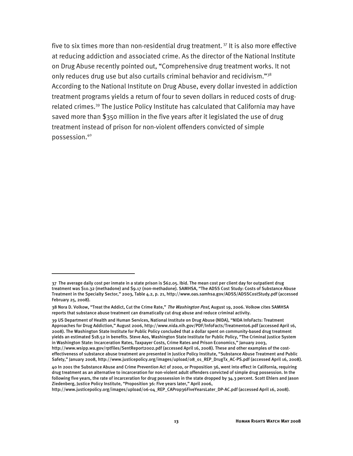five to six times more than non-residential drug treatment.<sup>37</sup> It is also more effective at reducing addiction and associated crime. As the director of the National Institute on Drug Abuse recently pointed out, "Comprehensive drug treatment works. It not only reduces drug use but also curtails criminal behavior and recidivism."<sup>38</sup> According to the National Institute on Drug Abuse, every dollar invested in addiction treatment programs yields a return of four to seven dollars in reduced costs of drugrelated crimes.<sup>39</sup> The Justice Policy Institute has calculated that California may have saved more than \$350 million in the five years after it legislated the use of drug treatment instead of prison for non-violent offenders convicted of simple possession.40

I

39 US Department of Health and Human Services, National Institute on Drug Abuse (NIDA), "NIDA InfoFacts: Treatment Approaches for Drug Addiction," August 2006, http://www.nida.nih.gov/PDF/InfoFacts/Treatment06.pdf (accessed April 16, 2008). The Washington State Institute for Public Policy concluded that a dollar spent on community-based drug treatment yields an estimated \$18.52 in benefits. Steve Aos, Washington State Institute for Public Policy, "The Criminal Justice System in Washington State: Incarceration Rates, Taxpayer Costs, Crime Rates and Prison Economics," January 2003, http://www.wsipp.wa.gov/rptfiles/SentReport2002.pdf (accessed April 16, 2008). These and other examples of the costeffectiveness of substance abuse treatment are presented in Justice Policy Institute, "Substance Abuse Treatment and Public Safety," January 2008, http://www.justicepolicy.org/images/upload/08\_01\_REP\_DrugTx\_AC-PS.pdf (accessed April 16, 2008).

<sup>37</sup> The average daily cost per inmate in a state prison is \$62.05. Ibid. The mean cost per client day for outpatient drug treatment was \$10.32 (methadone) and \$9.17 (non-methadone). SAMHSA, "The ADSS Cost Study: Costs of Substance Abuse Treatment in the Specialty Sector," 2003, Table 4.2, p. 21, http://www.oas.samhsa.gov/ADSS/ADSSCostStudy.pdf (accessed February 25, 2008).

<sup>38</sup> Nora D. Volkow, "Treat the Addict, Cut the Crime Rate," The Washington Post, August 19, 2006. Volkow cites SAMHSA reports that substance abuse treatment can dramatically cut drug abuse and reduce criminal activity.

<sup>40</sup> In 2001 the Substance Abuse and Crime Prevention Act of 2000, or Proposition 36, went into effect in California, requiring drug treatment as an alternative to incarceration for non-violent adult offenders convicted of simple drug possession. In the following five years, the rate of incarceration for drug possession in the state dropped by 34.3 percent. Scott Ehlers and Jason Ziedenberg, Justice Policy Institute, "Proposition 36: Five years later," April 2006,

http://www.justicepolicy.org/images/upload/06-04\_REP\_CAProp36FiveYearsLater\_DP-AC.pdf (accessed April 16, 2008).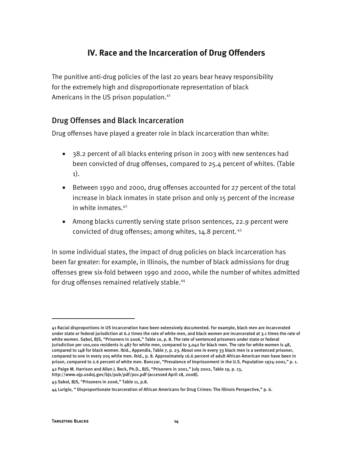#### **IV. Race and the Incarceration of Drug Offenders**

The punitive anti-drug policies of the last 20 years bear heavy responsibility for the extremely high and disproportionate representation of black Americans in the US prison population.<sup>41</sup>

#### Drug Offenses and Black Incarceration

Drug offenses have played a greater role in black incarceration than white:

- 38.2 percent of all blacks entering prison in 2003 with new sentences had been convicted of drug offenses, compared to 25.4 percent of whites. (Table 1).
- Between 1990 and 2000, drug offenses accounted for 27 percent of the total increase in black inmates in state prison and only 15 percent of the increase in white inmates.42
- Among blacks currently serving state prison sentences, 22.9 percent were convicted of drug offenses; among whites,  $14.8$  percent.  $43$

In some individual states, the impact of drug policies on black incarceration has been far greater: for example, in Illinois, the number of black admissions for drug offenses grew six-fold between 1990 and 2000, while the number of whites admitted for drug offenses remained relatively stable.<sup>44</sup>

I

<sup>41</sup> Racial disproportions in US incarceration have been extensively documented. For example, black men are incarcerated under state or federal jurisdiction at 6.2 times the rate of white men, and black women are incarcerated at 3.1 times the rate of white women. Sabol, BJS, "Prisoners in 2006," Table 10, p. 8. The rate of sentenced prisoners under state or federal jurisdiction per 100,000 residents is 487 for white men, compared to 3,042 for black men. The rate for white women is 48, compared to 148 for black women. Ibid., Appendix, Table 7, p. 23. About one in every 33 black men is a sentenced prisoner, compared to one in every 205 white men. Ibid., p. 8. Approximately 16.6 percent of adult African American men have been in prison, compared to 2.6 percent of white men. Bonczar, "Prevalence of Imprisonment in the U.S. Population 1974-2001," p. 1.

<sup>42</sup> Paige M. Harrison and Allen J. Beck, Ph.D., BJS, "Prisoners in 2001," July 2002, Table 19, p. 13, http://www.ojp.usdoj.gov/bjs/pub/pdf/p01.pdf (accessed April 18, 2008).

<sup>43</sup> Sabol, BJS, "Prisoners in 2006," Table 11, p.8.

<sup>44</sup> Lurigio, " Disproportionate Incarceration of African Americans for Drug Crimes: The Illinois Perspective," p. 6.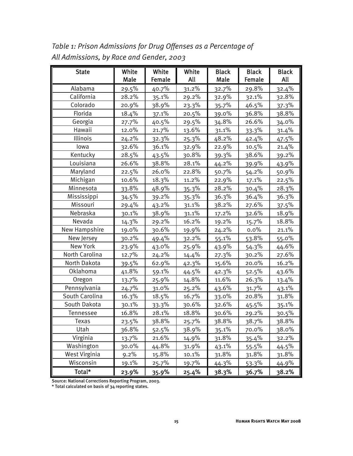| <b>State</b>   | White   | White    | White        | <b>Black</b> | <b>Black</b>  | <b>Black</b> |
|----------------|---------|----------|--------------|--------------|---------------|--------------|
|                | Male    | Female   | All          | Male         | <b>Female</b> | All          |
| Alabama        | 29.5%   | 40.7%    | 31.2%        | 32.7%        | 29.8%         | 32.4%        |
| California     | 28.2%   | 35.1%    | 29.2%        | 32.9%        | 32.1%         | 32.8%        |
| Colorado       | 20.9%   | 38.9%    | 23.3%        | 35.7%        | 46.5%         | 37.3%        |
| Florida        | 18.4%   | 37.1%    | 20.5%        | 39.0%        | 36.8%         | 38.8%        |
| Georgia        | 27.7%   | 40.5%    | 29.5%        | 34.8%        | 26.6%         | 34.0%        |
| Hawaii         | 12.0%   | 21.7%    | 13.6%        | 31.1%        | 33.3%         | 31.4%        |
| Illinois       | 24.2%   | 32.3%    | 25.3%        | 48.2%        | 42.4%         | 47.5%        |
| lowa           | 32.6%   | 36.1%    | 32.9%        | 22.9%        | 10.5%         | 21.4%        |
| Kentucky       | 28.5%   | 43.5%    | 30.8%        | 39.3%        | 38.6%         | 39.2%        |
| Louisiana      | 26.6%   | 38.8%    | 28.1%        | 44.2%        | 39.9%         | 43.9%        |
| Maryland       | 22.5%   | 26.0%    | 22.8%        | 50.7%        | 54.2%         | 50.9%        |
| Michigan       | 10.6%   | 18.3%    | 11.2%        | 22.9%        | 17.1%         | 22.5%        |
| Minnesota      | 33.8%   | 48.9%    | 35.3%        | 28.2%        | 30.4%         | 28.3%        |
| Mississippi    | 34.5%   | 39.2%    | 35.3%        | 36.3%        | 36.4%         | 36.3%        |
| Missouri       | 29.4%   | $43.2\%$ | 31.1%        | 38.2%        | 27.6%         | 37.5%        |
| Nebraska       | 30.1%   | 38.9%    | 31.1%        | 17.2%        | 32.6%         | 18.9%        |
| Nevada         | 14.3%   | 29.2%    | 16.2%        | 19.2%        | 15.7%         | 18.8%        |
| New Hampshire  | 19.0%   | 30.6%    | 19.9%        | $24.2\%$     | 0.0%          | 21.1%        |
| New Jersey     | 30.2%   | 49.4%    | 32.2%        | 55.1%        | 53.8%         | 55.0%        |
| New York       | 23.9%   | 43.0%    | 25.9%        | 43.9%        | 54.3%         | 44.6%        |
| North Carolina | 12.7%   | 24.2%    | 14.4%        | 27.3%        | 30.2%         | 27.6%        |
| North Dakota   | 39.5%   | 62.9%    | 42.3%        | 15.6%        | 20.0%         | 16.2%        |
| Oklahoma       | 41.8%   | 59.1%    | 44.5%        | 42.3%        | 52.5%         | 43.6%        |
| Oregon         | 13.7%   | 25.9%    | 14.8%        | 11.6%        | 26.3%         | 13.4%        |
| Pennsylvania   | 24.7%   | 31.0%    | $25.2\%$     | 43.6%        | 31.7%         | 43.1%        |
| South Carolina | 16.3%   | 18.5%    | 16.7%        | 33.0%        | 20.8%         | 31.8%        |
| South Dakota   | 30.1%   | 33.3%    | 30.6%        | 32.6%        | 45.5%         | 35.1%        |
| Tennessee      | 16.8%   | 28.1%    | 18.8%        | 30.6%        | 29.2%         | 30.5%        |
| Texas          | 23.5%   | 38.8%    | 25.7%        | 38.8%        | 38.7%         | 38.8%        |
| Utah           | 36.8%   | 52.5%    | 38.9%        | 35.1%        | 70.0%         | 38.0%        |
| Virginia       | 13.7%   | 21.6%    | 14.9%        | 31.8%        | 35.4%         | 32.2%        |
| Washington     | 30.0%   | 44.8%    | 31.9%        | 43.1%        | $55.5\%$      | 44.5%        |
| West Virginia  | $9.2\%$ | 15.8%    | 10.1%        | 31.8%        | 31.8%         | 31.8%        |
| Wisconsin      | 19.1%   | 25.7%    | <u>19.7%</u> | 44.3%        | 53.3%         | 44.9%        |
| Total*         | 23.9%   | 35.9%    | 25.4%        | 38.3%        | 36.7%         | 38.2%        |

*Table 1: Prison Admissions for Drug Offenses as a Percentage of All Admissions, by Race and Gender, 2003*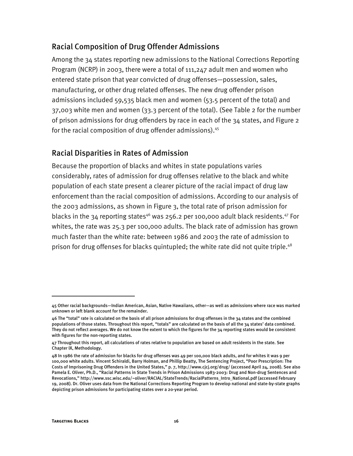#### Racial Composition of Drug Offender Admissions

Among the 34 states reporting new admissions to the National Corrections Reporting Program (NCRP) in 2003, there were a total of 111,247 adult men and women who entered state prison that year convicted of drug offenses—possession, sales, manufacturing, or other drug related offenses. The new drug offender prison admissions included 59,535 black men and women (53.5 percent of the total) and 37,003 white men and women (33.3 percent of the total). (See Table 2 for the number of prison admissions for drug offenders by race in each of the 34 states, and Figure 2 for the racial composition of drug offender admissions).<sup>45</sup>

#### Racial Disparities in Rates of Admission

Because the proportion of blacks and whites in state populations varies considerably, rates of admission for drug offenses relative to the black and white population of each state present a clearer picture of the racial impact of drug law enforcement than the racial composition of admissions. According to our analysis of the 2003 admissions, as shown in Figure 3, the total rate of prison admission for blacks in the 34 reporting states<sup>46</sup> was 256.2 per 100,000 adult black residents.<sup>47</sup> For whites, the rate was 25.3 per 100,000 adults. The black rate of admission has grown much faster than the white rate: between 1986 and 2003 the rate of admission to prison for drug offenses for blacks quintupled; the white rate did not quite triple.<sup>48</sup>

I

<sup>45</sup> Other racial backgrounds—Indian American, Asian, Native Hawaiians, other—as well as admissions where race was marked unknown or left blank account for the remainder.

<sup>46</sup> The "total" rate is calculated on the basis of all prison admissions for drug offenses in the 34 states and the combined populations of those states. Throughout this report, "totals" are calculated on the basis of all the 34 states' data combined. They do not reflect averages. We do not know the extent to which the figures for the 34 reporting states would be consistent with figures for the non-reporting states.

<sup>47</sup> Throughout this report, all calculations of rates relative to population are based on adult residents in the state. See Chapter IX, Methodology.

<sup>48</sup> In 1986 the rate of admission for blacks for drug offenses was 49 per 100,000 black adults, and for whites it was 9 per 100,000 white adults. Vincent Schiraldi, Barry Holman, and Phillip Beatty, The Sentencing Project, "Poor Prescription: The Costs of Imprisoning Drug Offenders in the United States," p. 7, http://www.cjcj.org/drug/ (accessed April 24, 2008). See also Pamela E. Oliver, Ph.D., "Racial Patterns in State Trends in Prison Admissions 1983-2003: Drug and Non-drug Sentences and Revocations," http://www.ssc.wisc.edu/~oliver/RACIAL/StateTrends/RacialPatterns\_Intro\_National.pdf (accessed February 19, 2008). Dr. Oliver uses data from the National Corrections Reporting Program to develop national and state-by-state graphs depicting prison admissions for participating states over a 20-year period.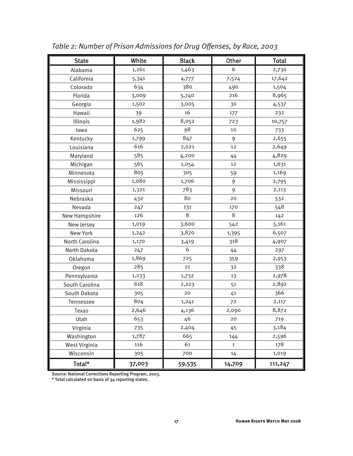| <b>State</b>   | White  | <b>Black</b> | Other  | <b>Total</b> |
|----------------|--------|--------------|--------|--------------|
| Alabama        | 1,261  | 1,463        | 6      | 2,730        |
| California     | 5,341  | 4,777        | 7,524  | 17,642       |
| Colorado       | 634    | 380          | 490    | 1,504        |
| Florida        | 3,009  | 5,740        | 216    | 8,965        |
| Georgia        | 1,502  | 3,005        | 30     | 4,537        |
| Hawaii         | 39     | 16           | 177    | 232          |
| Illinois       | 1,982  | 8,052        | 723    | 10,757       |
| lowa           | 625    | 98           | 10     | 733          |
| Kentucky       | 1,799  | 847          | 9      | 2,655        |
| Louisiana      | 616    | 2,021        | 12     | 2,649        |
| Maryland       | 585    | 4,200        | 44     | 4,829        |
| Michigan       | 565    | 1,054        | 12     | 1,631        |
| Minnesota      | 805    | 305          | 59     | 1,169        |
| Mississippi    | 1,080  | 1,706        | 9      | 2,795        |
| Missouri       | 1,321  | 783          | 9      | 2,113        |
| Nebraska       | 432    | 80           | 20     | 532          |
| Nevada         | 247    | 131          | 170    | 548          |
| New Hampshire  | 126    | 8            | 8      | 142          |
| New Jersey     | 1,019  | 3,600        | 542    | 5,161        |
| New York       | 1,242  | 3,870        | 1,395  | 6,507        |
| North Carolina | 1,170  | 3,419        | 318    | 4,907        |
| North Dakota   | 247    | 6            | 44     | 297          |
| Oklahoma       | 1,869  | 725          | 359    | 2,953        |
| Oregon         | 285    | 21           | 32     | 338          |
| Pennsylvania   | 1,233  | 1,732        | 13     | 2,978        |
| South Carolina | 618    | 2,223        | 51     | 2,892        |
| South Dakota   | 305    | 20           | 41     | 366          |
| Tennessee      | 804    | 1,241        | 72     | 2,117        |
| Texas          | 2,646  | 4,136        | 2,090  | 8,872        |
| Utah           | 653    | 46           | 20     | 719          |
| Virginia       | 735    | 2,404        | 45     | 3,184        |
| Washington     | 1,787  | 665          | 144    | 2,596        |
| West Virginia  | 116    | 61           | 1      | 178          |
| Wisconsin      | 305    | 700          | 14     | 1,019        |
| Total*         | 37,003 | 59,535       | 14,709 | 111,247      |

*Table 2: Number of Prison Admissions for Drug Offenses, by Race, 2003*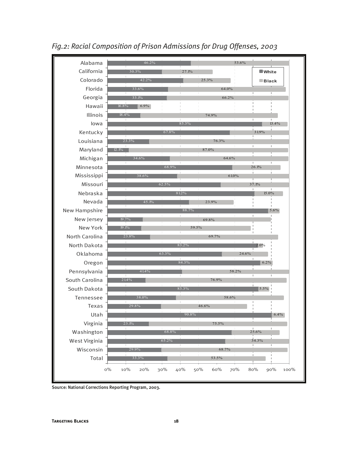

*Fig.2: Racial Composition of Prison Admissions for Drug Offenses, 2003*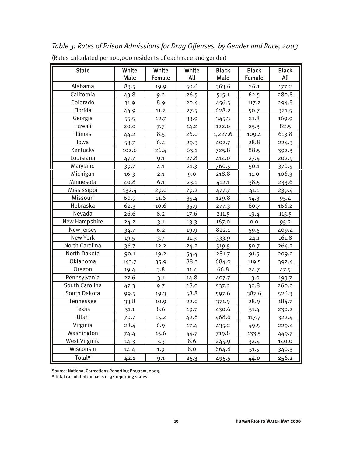*Table 3: Rates of Prison Admissions for Drug Offenses, by Gender and Race, 2003*  (Rates calculated per 100,000 residents of each race and gender)

| <b>State</b>         | White<br>Male | White<br>Female | White<br>All | <b>Black</b><br>Male | <b>Black</b><br>Female | <b>Black</b><br>All |
|----------------------|---------------|-----------------|--------------|----------------------|------------------------|---------------------|
| Alabama              | 83.5          | 19.9            | 50.6         | 363.6                | 26.1                   | 177.2               |
| California           | 43.8          | 9.2             | 26.5         | 515.1                | 62.5                   | 280.8               |
| Colorado             | 31.9          | 8.9             | 20.4         | 456.5                | 117.2                  | 294.8               |
| Florida              | 44.9          | 11.2            | 27.5         | 628.2                | 50.7                   | 321.5               |
| Georgia              | 55.5          | 12.7            | 33.9         | 345.3                | 21.8                   | 169.9               |
| Hawaii               | 20.0          | 7.7             | 14.2         | 122.0                | 25.3                   | 82.5                |
| Illinois             | 44.2          | 8.5             | 26.0         | 1,227.6              | 109.4                  | 613.8               |
| lowa                 | 53.7          | 6.4             | 29.3         | 402.7                | 28.8                   | 224.3               |
| Kentucky             | 102.6         | 26.4            | 63.1         | 725.8                | 88.5                   | 392.3               |
| Louisiana            | 47.7          | 9.1             | 27.8         | 414.0                | 27.4                   | 202.9               |
| Maryland             | 39.7          | 4.1             | 21.3         | 760.5                | 50.1                   | 370.5               |
| Michigan             | 16.3          | 2.1             | 9.0          | 218.8                | 11.0                   | 106.3               |
| Minnesota            | 40.8          | 6.1             | 23.1         | 412.1                | 38.5                   | 233.6               |
| Mississippi          | 132.4         | 29.0            | 79.2         | 477.7                | 41.1                   | 239.4               |
| Missouri             | 60.9          | 11.6            | 35.4         | 129.8                | 14.3                   | 95.4                |
| Nebraska             | 62.3          | 10.6            | 35.9         | 277.3                | 60.7                   | 166.2               |
| Nevada               | 26.6          | 8.2             | 17.6         | 211.5                | 19.4                   | 115.5               |
| <b>New Hampshire</b> | 24.2          | 3.1             | 13.3         | 167.0                | 0.0                    | 95.2                |
| New Jersey           | 34.7          | 6.2             | 19.9         | 822.1                | 59.5                   | 409.4               |
| New York             | 19.5          | 3.7             | 11.3         | 333.9                | 24.1                   | 161.8               |
| North Carolina       | 36.7          | 12.2            | 24.2         | 519.5                | 50.7                   | 264.2               |
| North Dakota         | 90.1          | 19.2            | 54.4         | 281.7                | 91.5                   | 209.2               |
| Oklahoma             | 143.7         | 35.9            | 88.3         | 684.0                | 119.5                  | 392.4               |
| Oregon               | 19.4          | 3.8             | 11.4         | 66.8                 | 24.7                   | 47.5                |
| Pennsylvania         | 27.6          | 3.1             | 14.8         | 407.7                | 13.0                   | 193.7               |
| South Carolina       | 47.3          | 9.7             | 28.0         | 537.2                | 30.8                   | 260.0               |
| South Dakota         | 99.5          | 19.3            | 58.8         | 597.6                | 387.6                  | 526.3               |
| Tennessee            | 33.8          | 10.9            | 22.0         | 371.9                | 28.9                   | 184.7               |
| Texas                | 31.1          | 8.6             | 19.7         | 430.6                | 51.4                   | 230.2               |
| Utah                 | 70.7          | 15.2            | 42.8         | 468.6                | 117.7                  | 322.4               |
| Virginia             | 28.4          | 6.9             | 17.4         | 435.2                | 49.5                   | 229.4               |
| Washington           | 74.4          | 15.6            | 44.7         | 719.8                | 133.5                  | 449.7               |
| <b>West Virginia</b> | 14.3          | 3.3             | 8.6          | 245.9                | 32.4                   | 140.0               |
| Wisconsin            | 14.4          | 1.9             | 8.0          | 664.8                | 51.5                   | 340.3               |
| Total*               | 42.1          | 9.1             | 25.3         | 495.5                | 44.0                   | 256.2               |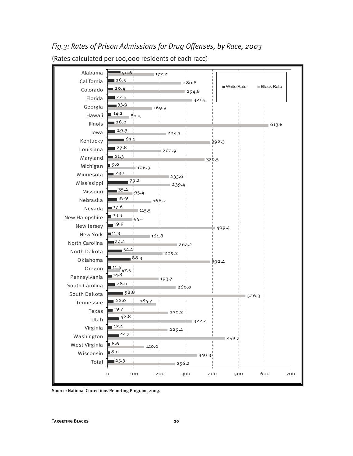280.8  $1294.8$ 106.3 209.2 322.4 449.7 140.0 340.3 256.2  $\blacksquare$  50.6 26.5 20.4 ■ 27.5 33.9  $14.2$ 26.0  $29.3$ 63.1 ■ 27.8 ■21.3 9.0 23.1 79.2 35.4  $35.9$ 17.6  $13.3$ 19.9 11.3  $24.2$  $-54.4$ 88.3 11.4 47.5 14.8 28.0 ■58.8  $122.0$ 19.7  $42.8$ 17.4  $-44.7$ 8.6 ■8.0  $125.3$ 177.2 321.5 169.9 82.5 613.8 224.3 392.3 202.9 370.5 233.6 239.4 95.4 166.2  $115.5$  $95.2$ 409.4 161.8  $1264.2$ 392.4 193.7 260.0 526.3 184.7 230.2 229.4 0 100 200 300 400 500 600 700 Alabama California Colorado Florida Georgia Hawaii Illinois Iowa Kentucky Louisiana Maryland Michigan Minnesota Mississippi Missouri Nebraska Nevada New Hampshire New Jersey New York North Carolina North Dakota Oklahoma Oregon Pennsylvania South Carolina South Dakota Tennessee Texas Utah Virginia Washington West Virginia Wisconsin Total White Rate Black Rate

### *Fig.3: Rates of Prison Admissions for Drug Offenses, by Race, 2003*  (Rates calculated per 100,000 residents of each race)

Source: National Corrections Reporting Program, 2003.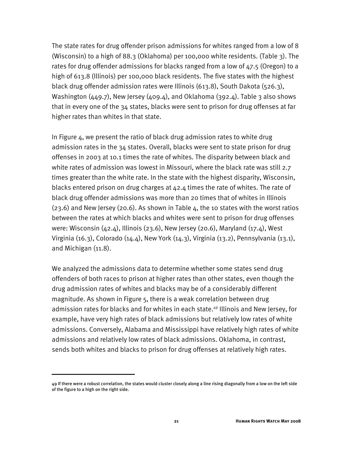The state rates for drug offender prison admissions for whites ranged from a low of 8 (Wisconsin) to a high of 88.3 (Oklahoma) per 100,000 white residents. (Table 3). The rates for drug offender admissions for blacks ranged from a low of 47.5 (Oregon) to a high of 613.8 (Illinois) per 100,000 black residents. The five states with the highest black drug offender admission rates were Illinois (613.8), South Dakota (526.3), Washington (449.7), New Jersey (409.4), and Oklahoma (392.4). Table 3 also shows that in every one of the 34 states, blacks were sent to prison for drug offenses at far higher rates than whites in that state.

In Figure 4, we present the ratio of black drug admission rates to white drug admission rates in the 34 states. Overall, blacks were sent to state prison for drug offenses in 2003 at 10.1 times the rate of whites. The disparity between black and white rates of admission was lowest in Missouri, where the black rate was still 2.7 times greater than the white rate. In the state with the highest disparity, Wisconsin, blacks entered prison on drug charges at 42.4 times the rate of whites. The rate of black drug offender admissions was more than 20 times that of whites in Illinois  $(23.6)$  and New Jersey  $(20.6)$ . As shown in Table 4, the 10 states with the worst ratios between the rates at which blacks and whites were sent to prison for drug offenses were: Wisconsin  $(42.4)$ , Illinois  $(23.6)$ , New Jersey  $(20.6)$ , Maryland  $(17.4)$ , West Virginia (16.3), Colorado (14.4), New York (14.3), Virginia (13.2), Pennsylvania (13.1), and Michigan (11.8).

We analyzed the admissions data to determine whether some states send drug offenders of both races to prison at higher rates than other states, even though the drug admission rates of whites and blacks may be of a considerably different magnitude. As shown in Figure 5, there is a weak correlation between drug admission rates for blacks and for whites in each state.<sup>49</sup> Illinois and New Jersey, for example, have very high rates of black admissions but relatively low rates of white admissions. Conversely, Alabama and Mississippi have relatively high rates of white admissions and relatively low rates of black admissions. Oklahoma, in contrast, sends both whites and blacks to prison for drug offenses at relatively high rates.

j

<sup>49</sup> If there were a robust correlation, the states would cluster closely along a line rising diagonally from a low on the left side of the figure to a high on the right side.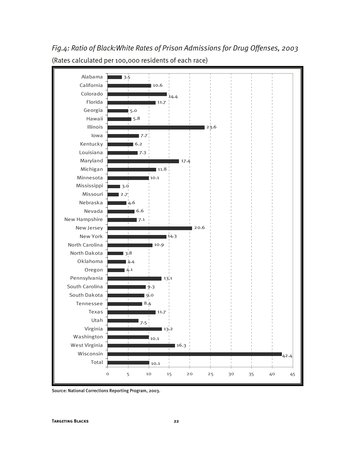

*Fig.4: Ratio of Black:White Rates of Prison Admissions for Drug Offenses, 2003*  (Rates calculated per 100,000 residents of each race)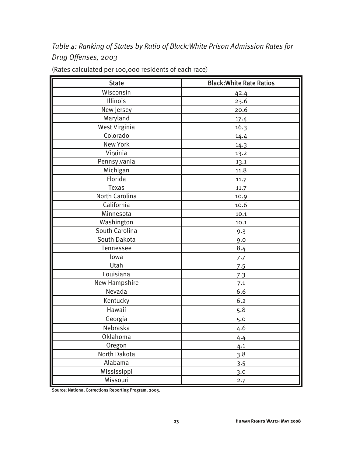*Table 4: Ranking of States by Ratio of Black:White Prison Admission Rates for Drug Offenses, 2003* 

| <b>State</b>   | <b>Black: White Rate Ratios</b> |
|----------------|---------------------------------|
| Wisconsin      | 42.4                            |
| Illinois       | 23.6                            |
| New Jersey     | 20.6                            |
| Maryland       | 17.4                            |
| West Virginia  | 16.3                            |
| Colorado       | 14.4                            |
| New York       | 14.3                            |
| Virginia       | 13.2                            |
| Pennsylvania   | 13.1                            |
| Michigan       | 11.8                            |
| Florida        | 11.7                            |
| Texas          | 11.7                            |
| North Carolina | 10.9                            |
| California     | 10.6                            |
| Minnesota      | 10.1                            |
| Washington     | 10.1                            |
| South Carolina | 9.3                             |
| South Dakota   | 9.0                             |
| Tennessee      | 8.4                             |
| lowa           | 7.7                             |
| Utah           | 7.5                             |
| Louisiana      | 7.3                             |
| New Hampshire  | 7.1                             |
| Nevada         | 6.6                             |
| Kentucky       | 6.2                             |
| Hawaii         | 5.8                             |
| Georgia        | 5.0                             |
| Nebraska       | 4.6                             |
| Oklahoma       | 4.4                             |
| Oregon         | 4.1                             |
| North Dakota   | 3.8                             |
| Alabama        | 3.5                             |
| Mississippi    | 3.0                             |
| Missouri       | 2.7                             |

(Rates calculated per 100,000 residents of each race)

Source: National Corrections Reporting Program, 2003.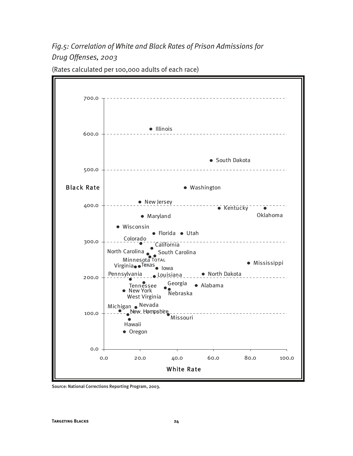*Fig.5: Correlation of White and Black Rates of Prison Admissions for Drug Offenses, 2003* 

700.0 **•** Illinois 600.0 ● South Dakota 500.0 Black Rate Washington New Jersey 400.0 **Kentucky** Oklahoma Maryland Wisconsin Florida Utah Colorado 300.0 California North Carolina South Carolina Minnesota Total Mississippi Virginia <sup>Texas</sup> lowa North Dakota Pennsylvania Louisiana 200.0 Georgia Alabama **Tennessee** New York Nebraska West Virginia Michigan Nevada **C**<sub>\_</sub>New Hampshire 100.0 Missouri ă Hawaii • Oregon 0.0 0.0 20.0 40.0 60.0 80.0 100.0 White Rate

(Rates calculated per 100,000 adults of each race)

Source: National Corrections Reporting Program, 2003.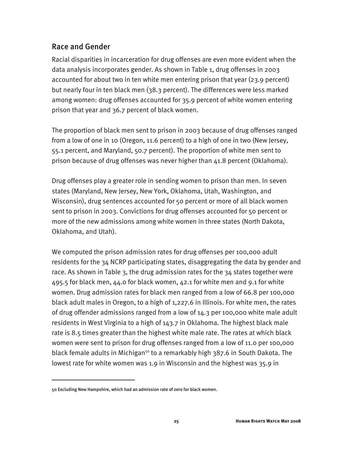#### Race and Gender

Racial disparities in incarceration for drug offenses are even more evident when the data analysis incorporates gender. As shown in Table 1, drug offenses in 2003 accounted for about two in ten white men entering prison that year (23.9 percent) but nearly four in ten black men (38.3 percent). The differences were less marked among women: drug offenses accounted for 35.9 percent of white women entering prison that year and 36.7 percent of black women.

The proportion of black men sent to prison in 2003 because of drug offenses ranged from a low of one in 10 (Oregon, 11.6 percent) to a high of one in two (New Jersey, 55.1 percent, and Maryland, 50.7 percent). The proportion of white men sent to prison because of drug offenses was never higher than 41.8 percent (Oklahoma).

Drug offenses play a greater role in sending women to prison than men. In seven states (Maryland, New Jersey, New York, Oklahoma, Utah, Washington, and Wisconsin), drug sentences accounted for 50 percent or more of all black women sent to prison in 2003. Convictions for drug offenses accounted for 50 percent or more of the new admissions among white women in three states (North Dakota, Oklahoma, and Utah).

We computed the prison admission rates for drug offenses per 100,000 adult residents for the 34 NCRP participating states, disaggregating the data by gender and race. As shown in Table 3, the drug admission rates for the 34 states together were 495.5 for black men, 44.0 for black women, 42.1 for white men and 9.1 for white women. Drug admission rates for black men ranged from a low of 66.8 per 100,000 black adult males in Oregon, to a high of 1,227.6 in Illinois. For white men, the rates of drug offender admissions ranged from a low of 14.3 per 100,000 white male adult residents in West Virginia to a high of 143.7 in Oklahoma. The highest black male rate is 8.5 times greater than the highest white male rate. The rates at which black women were sent to prison for drug offenses ranged from a low of 11.0 per 100,000 black female adults in Michigan<sup>50</sup> to a remarkably high 387.6 in South Dakota. The lowest rate for white women was 1.9 in Wisconsin and the highest was 35.9 in

-

<sup>50</sup> Excluding New Hampshire, which had an admission rate of zero for black women.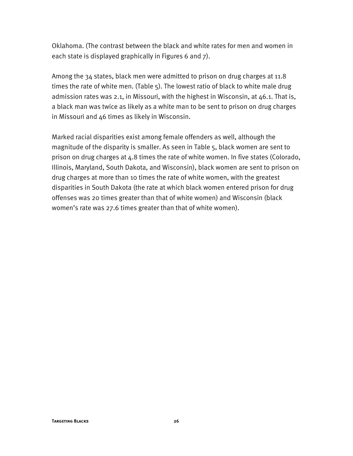Oklahoma. (The contrast between the black and white rates for men and women in each state is displayed graphically in Figures 6 and 7).

Among the 34 states, black men were admitted to prison on drug charges at 11.8 times the rate of white men. (Table 5). The lowest ratio of black to white male drug admission rates was 2.1, in Missouri, with the highest in Wisconsin, at 46.1. That is, a black man was twice as likely as a white man to be sent to prison on drug charges in Missouri and 46 times as likely in Wisconsin.

Marked racial disparities exist among female offenders as well, although the magnitude of the disparity is smaller. As seen in Table 5, black women are sent to prison on drug charges at 4.8 times the rate of white women. In five states (Colorado, Illinois, Maryland, South Dakota, and Wisconsin), black women are sent to prison on drug charges at more than 10 times the rate of white women, with the greatest disparities in South Dakota (the rate at which black women entered prison for drug offenses was 20 times greater than that of white women) and Wisconsin (black women's rate was 27.6 times greater than that of white women).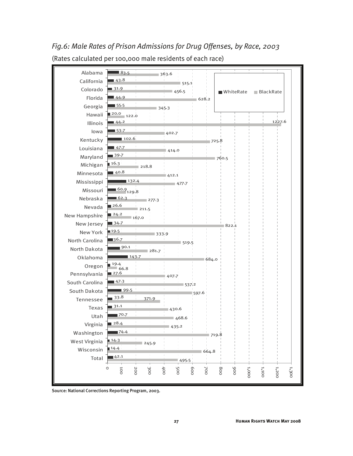515.1 456.5 218.8 281.7 468.6 719.8 245.9 664.8 495.5 42.1 14.4 14.3 74.4  $28.4$  $-70.7$ 31.1 <sub>∎</sub> 33.8 ■ 99.5  $\blacksquare$  47.3 27.6  $19.4$  $143.7$  $90.1$ 36.7 19.5  $134.7$  $24.2$ 26.6  $\blacksquare$  62.3 60.9 129.8 132.4  $40.8$  $16.3$ 39.7  $47.7$  $102.6$  $\blacksquare$  53  $\cdot$  7  $44.2$ 20.0 122.0  $-55.5$  $44.9$ 31.9 43.8  $\blacksquare$ 83.5 435.2 430.6 371.9 597.6 537.2 407.7 66.8 684.0 519.5 333.9 822.1 167.0  $1211.5$ 277.3 477.7 412.1 760.5 414.0 725.8 402.7 1227.6 345.3 628.2 363.6  $\circ$ 100 200 <u>ين</u><br>20 400 500 600 700 800 900 1,000 1,100 1,200 1,300 Alabama California Colorado Florida Georgia Hawaii Illinois Iowa Kentucky Louisiana Maryland Michigan Minnesota Mississippi Missouri Nebraska Nevada New Hampshire New Jersey New York North Carolina North Dakota Oklahoma Oregon Pennsylvania South Carolina South Dakota Tennessee Texas Utah Virginia Washington West Virginia Wisconsin Total WhiteRate BlackRate

### *Fig.6: Male Rates of Prison Admissions for Drug Offenses, by Race, 2003*  (Rates calculated per 100,000 male residents of each race)

Source: National Corrections Reporting Program, 2003.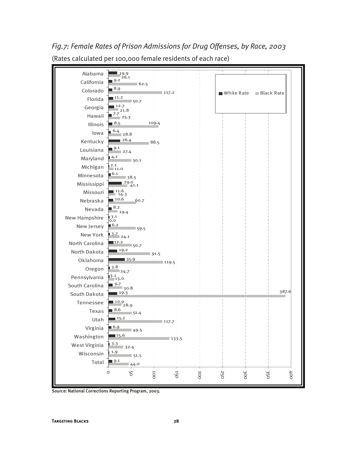

*Fig.7: Female Rates of Prison Admissions for Drug Offenses, by Race, 2003*  (Rates calculated per 100,000 female residents of each race)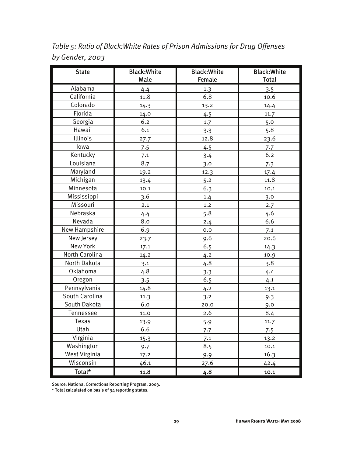*Table 5: Ratio of Black:White Rates of Prison Admissions for Drug Offenses by Gender, 2003* 

| <b>State</b>   | <b>Black: White</b><br>Male | <b>Black: White</b><br>Female | <b>Black: White</b><br>Total |
|----------------|-----------------------------|-------------------------------|------------------------------|
| Alabama        | 4.4                         | 1.3                           | 3.5                          |
| California     | 11.8                        | 6.8                           | 10.6                         |
| Colorado       | 14.3                        | 13.2                          | 14.4                         |
| Florida        | 14.0                        | 4.5                           | 11.7                         |
| Georgia        | 6.2                         | 1.7                           | 5.0                          |
| Hawaii         | 6.1                         | 3.3                           | 5.8                          |
| Illinois       | 27.7                        | 12.8                          | 23.6                         |
| lowa           | 7.5                         | 4.5                           | 7.7                          |
| Kentucky       | 7.1                         | 3.4                           | 6.2                          |
| Louisiana      | 8.7                         | 3.0                           | 7.3                          |
| Maryland       | 19.2                        | 12.3                          | 17.4                         |
| Michigan       | 13.4                        | 5.2                           | 11.8                         |
| Minnesota      | 10.1                        | 6.3                           | 10.1                         |
| Mississippi    | 3.6                         | 1.4                           | 3.0                          |
| Missouri       | 2.1                         | 1.2                           | 2.7                          |
| Nebraska       | 4.4                         | 5.8                           | 4.6                          |
| Nevada         | 8.0                         | 2.4                           | 6.6                          |
| New Hampshire  | 6.9                         | 0.0                           | 7.1                          |
| New Jersey     | 23.7                        | 9.6                           | 20.6                         |
| New York       | 17.1                        | 6.5                           | 14.3                         |
| North Carolina | 14.2                        | 4.2                           | 10.9                         |
| North Dakota   | 3.1                         | 4.8                           | 3.8                          |
| Oklahoma       | 4.8                         | 3.3                           | 4.4                          |
| Oregon         | 3.5                         | 6.5                           | 4.1                          |
| Pennsylvania   | 14.8                        | 4.2                           | 13.1                         |
| South Carolina | 11.3                        | 3.2                           | 9.3                          |
| South Dakota   | 6.0                         | 20.0                          | 9.0                          |
| Tennessee      | 11.0                        | 2.6                           | 8.4                          |
| Texas          | 13.9                        | 5.9                           | 11.7                         |
| Utah           | 6.6                         | 7.7                           | 7.5                          |
| Virginia       | 15.3                        | 7.1                           | 13.2                         |
| Washington     | 9.7                         | 8.5                           | 10.1                         |
| West Virginia  | 17.2                        | 9.9                           | 16.3                         |
| Wisconsin      | 46.1                        | 27.6                          | 42.4                         |
| Total*         | 11.8                        | 4.8                           | 10.1                         |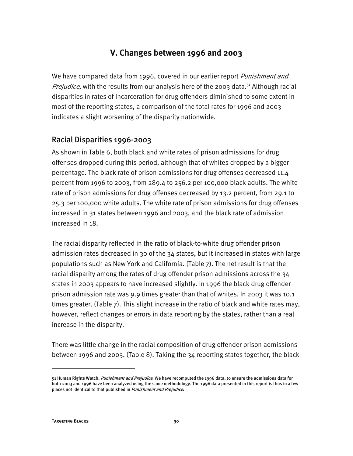#### **V. Changes between 1996 and 2003**

We have compared data from 1996, covered in our earlier report Punishment and *Prejudice*, with the results from our analysis here of the 2003 data.<sup>51</sup> Although racial disparities in rates of incarceration for drug offenders diminished to some extent in most of the reporting states, a comparison of the total rates for 1996 and 2003 indicates a slight worsening of the disparity nationwide.

#### Racial Disparities 1996-2003

As shown in Table 6, both black and white rates of prison admissions for drug offenses dropped during this period, although that of whites dropped by a bigger percentage. The black rate of prison admissions for drug offenses decreased 11.4 percent from 1996 to 2003, from 289.4 to 256.2 per 100,000 black adults. The white rate of prison admissions for drug offenses decreased by 13.2 percent, from 29.1 to 25.3 per 100,000 white adults. The white rate of prison admissions for drug offenses increased in 31 states between 1996 and 2003, and the black rate of admission increased in 18.

The racial disparity reflected in the ratio of black-to-white drug offender prison admission rates decreased in 30 of the 34 states, but it increased in states with large populations such as New York and California. (Table 7). The net result is that the racial disparity among the rates of drug offender prison admissions across the 34 states in 2003 appears to have increased slightly. In 1996 the black drug offender prison admission rate was 9.9 times greater than that of whites. In 2003 it was 10.1 times greater. (Table 7). This slight increase in the ratio of black and white rates may, however, reflect changes or errors in data reporting by the states, rather than a real increase in the disparity.

There was little change in the racial composition of drug offender prison admissions between 1996 and 2003. (Table 8). Taking the 34 reporting states together, the black

I

<sup>51</sup> Human Rights Watch, *Punishment and Prejudice*. We have recomputed the 1996 data, to ensure the admissions data for both 2003 and 1996 have been analyzed using the same methodology. The 1996 data presented in this report is thus in a few places not identical to that published in Punishment and Prejudice.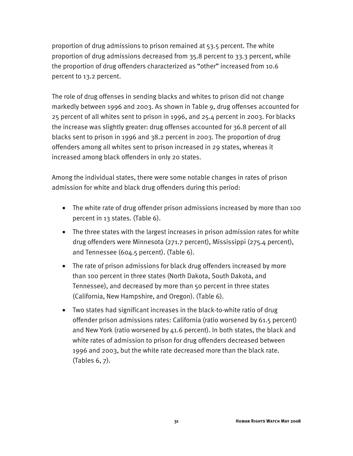proportion of drug admissions to prison remained at 53.5 percent. The white proportion of drug admissions decreased from 35.8 percent to 33.3 percent, while the proportion of drug offenders characterized as "other" increased from 10.6 percent to 13.2 percent.

The role of drug offenses in sending blacks and whites to prison did not change markedly between 1996 and 2003. As shown in Table 9, drug offenses accounted for 25 percent of all whites sent to prison in 1996, and 25.4 percent in 2003. For blacks the increase was slightly greater: drug offenses accounted for 36.8 percent of all blacks sent to prison in 1996 and 38.2 percent in 2003. The proportion of drug offenders among all whites sent to prison increased in 29 states, whereas it increased among black offenders in only 20 states.

Among the individual states, there were some notable changes in rates of prison admission for white and black drug offenders during this period:

- The white rate of drug offender prison admissions increased by more than 100 percent in 13 states. (Table 6).
- The three states with the largest increases in prison admission rates for white drug offenders were Minnesota (271.7 percent), Mississippi (275.4 percent), and Tennessee (604.5 percent). (Table 6).
- The rate of prison admissions for black drug offenders increased by more than 100 percent in three states (North Dakota, South Dakota, and Tennessee), and decreased by more than 50 percent in three states (California, New Hampshire, and Oregon). (Table 6).
- Two states had significant increases in the black-to-white ratio of drug offender prison admissions rates: California (ratio worsened by 61.5 percent) and New York (ratio worsened by 41.6 percent). In both states, the black and white rates of admission to prison for drug offenders decreased between 1996 and 2003, but the white rate decreased more than the black rate. (Tables 6, 7).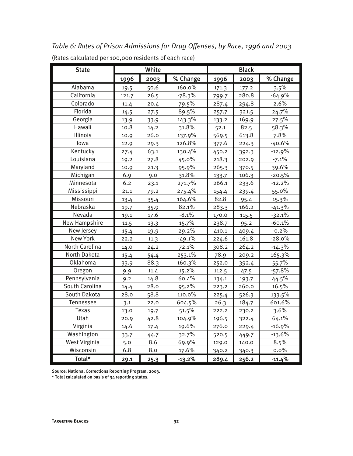*Table 6: Rates of Prison Admissions for Drug Offenses, by Race, 1996 and 2003*  (Rates calculated per 100,000 residents of each race)

| <b>State</b>         |       | White |          |       | <b>Black</b> |          |
|----------------------|-------|-------|----------|-------|--------------|----------|
|                      | 1996  | 2003  | % Change | 1996  | 2003         | % Change |
| Alabama              | 19.5  | 50.6  | 160.0%   | 171.3 | 177.2        | 3.5%     |
| California           | 121.7 | 26.5  | $-78.3%$ | 799.7 | 280.8        | $-64.9%$ |
| Colorado             | 11.4  | 20.4  | 79.5%    | 287.4 | 294.8        | 2.6%     |
| Florida              | 14.5  | 27.5  | 89.5%    | 257.7 | 321.5        | 24.7%    |
| Georgia              | 13.9  | 33.9  | 143.3%   | 133.2 | 169.9        | 27.5%    |
| Hawaii               | 10.8  | 14.2  | 31.8%    | 52.1  | 82.5         | 58.3%    |
| Illinois             | 10.9  | 26.0  | 137.9%   | 569.5 | 613.8        | 7.8%     |
| lowa                 | 12.9  | 29.3  | 126.8%   | 377.6 | 224.3        | $-40.6%$ |
| Kentucky             | 27.4  | 63.1  | 130.4%   | 450.2 | 392.3        | $-12.9%$ |
| Louisiana            | 19.2  | 27.8  | 45.0%    | 218.3 | 202.9        | $-7.1%$  |
| Maryland             | 10.9  | 21.3  | 95.9%    | 265.3 | 370.5        | 39.6%    |
| Michigan             | 6.9   | 9.0   | 31.8%    | 133.7 | 106.3        | $-20.5%$ |
| Minnesota            | 6.2   | 23.1  | 271.7%   | 266.1 | 233.6        | $-12.2%$ |
| Mississippi          | 21.1  | 79.2  | 275.4%   | 154.4 | 239.4        | 55.0%    |
| Missouri             | 13.4  | 35.4  | 164.6%   | 82.8  | 95.4         | 15.3%    |
| Nebraska             | 19.7  | 35.9  | 82.1%    | 283.3 | 166.2        | $-41.3%$ |
| Nevada               | 19.1  | 17.6  | $-8.1%$  | 170.0 | 115.5        | $-32.1%$ |
| New Hampshire        | 11.5  | 13.3  | 15.7%    | 238.7 | 95.2         | $-60.1%$ |
| New Jersey           | 15.4  | 19.9  | 29.2%    | 410.1 | 409.4        | $-0.2%$  |
| New York             | 22.2  | 11.3  | $-49.1%$ | 224.6 | 161.8        | $-28.0%$ |
| North Carolina       | 14.0  | 24.2  | 72.1%    | 308.2 | 264.2        | $-14.3%$ |
| North Dakota         | 15.4  | 54.4  | 253.1%   | 78.9  | 209.2        | 165.3%   |
| Oklahoma             | 33.9  | 88.3  | 160.3%   | 252.0 | 392.4        | 55.7%    |
| Oregon               | 9.9   | 11.4  | 15.2%    | 112.5 | 47.5         | $-57.8%$ |
| Pennsylvania         | 9.2   | 14.8  | 60.4%    | 134.1 | 193.7        | 44.5%    |
| South Carolina       | 14.4  | 28.0  | 95.2%    | 223.2 | 260.0        | 16.5%    |
| South Dakota         | 28.0  | 58.8  | 110.0%   | 225.4 | 526.3        | 133.5%   |
| Tennessee            | 3.1   | 22.0  | 604.5%   | 26.3  | 184.7        | 601.6%   |
| Texas                | 13.0  | 19.7  | 51.5%    | 222.2 | 230.2        | 3.6%     |
| Utah                 | 20.9  | 42.8  | 104.9%   | 196.5 | 322.4        | 64.1%    |
| Virginia             | 14.6  | 17.4  | 19.6%    | 276.0 | 229.4        | $-16.9%$ |
| Washington           | 33.7  | 44.7  | 32.7%    | 520.5 | 449.7        | $-13.6%$ |
| <b>West Virginia</b> | 5.0   | 8.6   | 69.9%    | 129.0 | 140.0        | 8.5%     |
| Wisconsin            | 6.8   | 8.0   | 17.6%    | 340.2 | 340.3        | $0.0\%$  |
| Total*               | 29.1  | 25.3  | $-13.2%$ | 289.4 | 256.2        | $-11.4%$ |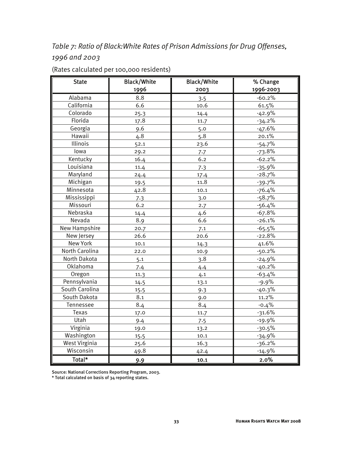### *Table 7: Ratio of Black:White Rates of Prison Admissions for Drug Offenses, 1996 and 2003*

| <b>State</b>         | <b>Black/White</b> | <b>Black/White</b> | % Change  |
|----------------------|--------------------|--------------------|-----------|
|                      | 1996               | 2003               | 1996-2003 |
| Alabama              | 8.8                | 3.5                | $-60.2%$  |
| California           | 6.6                | 10.6               | 61.5%     |
| Colorado             | 25.3               | 14.4               | $-42.9%$  |
| Florida              | 17.8               | 11.7               | $-34.2%$  |
| Georgia              | 9.6                | 5.0                | $-47.6%$  |
| Hawaii               | 4.8                | 5.8                | 20.1%     |
| Illinois             | 52.1               | 23.6               | $-54.7%$  |
| lowa                 | 29.2               | 7.7                | $-73.8%$  |
| Kentucky             | 16.4               | 6.2                | $-62.2%$  |
| Louisiana            | 11.4               | 7.3                | $-35.9%$  |
| Maryland             | 24.4               | 17.4               | $-28.7%$  |
| Michigan             | 19.5               | 11.8               | $-39.7%$  |
| Minnesota            | 42.8               | 10.1               | $-76.4%$  |
| Mississippi          | 7.3                | 3.0                | $-58.7%$  |
| Missouri             | 6.2                | 2.7                | $-56.4%$  |
| Nebraska             | 14.4               | 4.6                | $-67.8%$  |
| Nevada               | 8.9                | 6.6                | $-26.1%$  |
| <b>New Hampshire</b> | 20.7               | 7.1                | $-65.5%$  |
| New Jersey           | 26.6               | 20.6               | $-22.8%$  |
| <b>New York</b>      | 10.1               | 14.3               | 41.6%     |
| North Carolina       | 22.0               | 10.9               | $-50.2%$  |
| North Dakota         | 5.1                | 3.8                | $-24.9%$  |
| Oklahoma             | 7.4                | 4.4                | $-40.2%$  |
| Oregon               | 11.3               | 4.1                | $-63.4%$  |
| Pennsylvania         | 14.5               | 13.1               | -9.9%     |
| South Carolina       | 15.5               | 9.3                | $-40.3%$  |
| South Dakota         | 8.1                | 9.0                | 11.2%     |
| Tennessee            | 8.4                | 8.4                | $-0.4%$   |
| Texas                | 17.0               | 11.7               | $-31.6%$  |
| Utah                 | 9.4                | 7.5                | $-19.9%$  |
| Virginia             | 19.0               | 13.2               | $-30.5%$  |
| Washington           | 15.5               | 10.1               | $-34.9%$  |
| <b>West Virginia</b> | 25.6               | 16.3               | $-36.2%$  |
| Wisconsin            | 49.8               | 42.4               | $-14.9%$  |
| Total*               | 9.9                | 10.1               | 2.0%      |

(Rates calculated per 100,000 residents)

Source: National Corrections Reporting Program, 2003.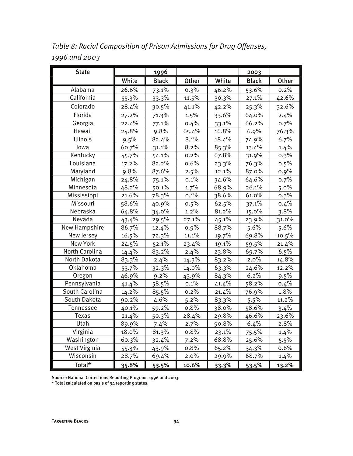| <b>State</b>   |       | 1996         |         |       | 2003         |         |
|----------------|-------|--------------|---------|-------|--------------|---------|
|                | White | <b>Black</b> | Other   | White | <b>Black</b> | Other   |
| Alabama        | 26.6% | 73.1%        | 0.3%    | 46.2% | 53.6%        | 0.2%    |
| California     | 55.3% | 33.3%        | 11.5%   | 30.3% | 27.1%        | 42.6%   |
| Colorado       | 28.4% | 30.5%        | 41.1%   | 42.2% | 25.3%        | 32.6%   |
| Florida        | 27.2% | 71.3%        | 1.5%    | 33.6% | 64.0%        | 2.4%    |
| Georgia        | 22.4% | 77.1%        | 0.4%    | 33.1% | 66.2%        | 0.7%    |
| Hawaii         | 24.8% | 9.8%         | 65.4%   | 16.8% | 6.9%         | 76.3%   |
| Illinois       | 9.5%  | 82.4%        | 8.1%    | 18.4% | 74.9%        | 6.7%    |
| lowa           | 60.7% | 31.1%        | 8.2%    | 85.3% | 13.4%        | 1.4%    |
| Kentucky       | 45.7% | 54.1%        | 0.2%    | 67.8% | 31.9%        | 0.3%    |
| Louisiana      | 17.2% | 82.2%        | 0.6%    | 23.3% | 76.3%        | 0.5%    |
| Maryland       | 9.8%  | 87.6%        | 2.5%    | 12.1% | 87.0%        | 0.9%    |
| Michigan       | 24.8% | 75.1%        | 0.1%    | 34.6% | 64.6%        | 0.7%    |
| Minnesota      | 48.2% | 50.1%        | 1.7%    | 68.9% | 26.1%        | 5.0%    |
| Mississippi    | 21.6% | 78.3%        | 0.1%    | 38.6% | 61.0%        | 0.3%    |
| Missouri       | 58.6% | 40.9%        | 0.5%    | 62.5% | 37.1%        | 0.4%    |
| Nebraska       | 64.8% | 34.0%        | 1.2%    | 81.2% | 15.0%        | 3.8%    |
| Nevada         | 43.4% | 29.5%        | 27.1%   | 45.1% | 23.9%        | 31.0%   |
| New Hampshire  | 86.7% | 12.4%        | 0.9%    | 88.7% | 5.6%         | 5.6%    |
| New Jersey     | 16.5% | 72.3%        | 11.1%   | 19.7% | 69.8%        | 10.5%   |
| New York       | 24.5% | 52.1%        | 23.4%   | 19.1% | 59.5%        | 21.4%   |
| North Carolina | 14.4% | 83.2%        | 2.4%    | 23.8% | 69.7%        | 6.5%    |
| North Dakota   | 83.3% | 2.4%         | 14.3%   | 83.2% | 2.0%         | 14.8%   |
| Oklahoma       | 53.7% | 32.3%        | 14.0%   | 63.3% | 24.6%        | 12.2%   |
| Oregon         | 46.9% | 9.2%         | 43.9%   | 84.3% | 6.2%         | 9.5%    |
| Pennsylvania   | 41.4% | 58.5%        | 0.1%    | 41.4% | 58.2%        | 0.4%    |
| South Carolina | 14.2% | 85.5%        | 0.2%    | 21.4% | 76.9%        | 1.8%    |
| South Dakota   | 90.2% | 4.6%         | 5.2%    | 83.3% | 5.5%         | 11.2%   |
| Tennessee      | 40.1% | 59.2%        | 0.8%    | 38.0% | 58.6%        | 3.4%    |
| Texas          | 21.4% | 50.3%        | 28.4%   | 29.8% | 46.6%        | 23.6%   |
| Utah           | 89.9% | 7.4%         | 2.7%    | 90.8% | 6.4%         | 2.8%    |
| Virginia       | 18.0% | 81.3%        | 0.8%    | 23.1% | 75.5%        | 1.4%    |
| Washington     | 60.3% | 32.4%        | $7.2\%$ | 68.8% | 25.6%        | $5.5\%$ |
| West Virginia  | 55.3% | 43.9%        | 0.8%    | 65.2% | 34.3%        | 0.6%    |
| Wisconsin      | 28.7% | 69.4%        | 2.0%    | 29.9% | 68.7%        | $1.4\%$ |
| Total*         | 35.8% | 53.5%        | 10.6%   | 33.3% | 53.5%        | 13.2%   |

*Table 8: Racial Composition of Prison Admissions for Drug Offenses, 1996 and 2003*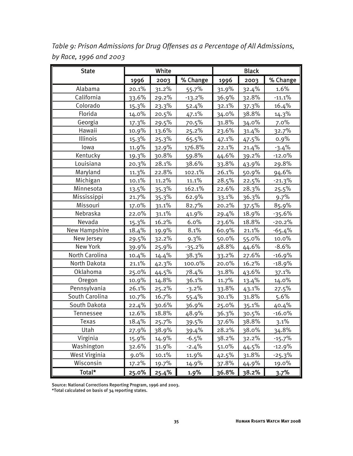| <b>State</b>   |             | White |          |             | <b>Black</b> |          |
|----------------|-------------|-------|----------|-------------|--------------|----------|
|                | <u>1996</u> | 2003  | % Change | <u>1996</u> | 2003         | % Change |
| Alabama        | 20.1%       | 31.2% | 55.7%    | 31.9%       | 32.4%        | 1.6%     |
| California     | 33.6%       | 29.2% | $-13.2%$ | 36.9%       | 32.8%        | $-11.1%$ |
| Colorado       | 15.3%       | 23.3% | 52.4%    | 32.1%       | 37.3%        | 16.4%    |
| Florida        | 14.0%       | 20.5% | 47.1%    | 34.0%       | 38.8%        | 14.3%    |
| Georgia        | 17.3%       | 29.5% | 70.5%    | 31.8%       | 34.0%        | 7.0%     |
| Hawaii         | 10.9%       | 13.6% | 25.2%    | 23.6%       | 31.4%        | 32.7%    |
| Illinois       | 15.3%       | 25.3% | 65.5%    | 47.1%       | 47.5%        | 0.9%     |
| lowa           | 11.9%       | 32.9% | 176.8%   | 22.1%       | 21.4%        | $-3.4%$  |
| Kentucky       | 19.3%       | 30.8% | 59.8%    | 44.6%       | 39.2%        | $-12.0%$ |
| Louisiana      | 20.3%       | 28.1% | 38.6%    | 33.8%       | 43.9%        | 29.8%    |
| Maryland       | 11.3%       | 22.8% | 102.1%   | 26.1%       | 50.9%        | 94.6%    |
| Michigan       | 10.1%       | 11.2% | 11.1%    | 28.5%       | 22.5%        | $-21.3%$ |
| Minnesota      | 13.5%       | 35.3% | 162.1%   | 22.6%       | 28.3%        | 25.5%    |
| Mississippi    | 21.7%       | 35.3% | 62.9%    | 33.1%       | 36.3%        | 9.7%     |
| Missouri       | 17.0%       | 31.1% | 82.7%    | 20.2%       | 37.5%        | 85.9%    |
| Nebraska       | 22.0%       | 31.1% | 41.9%    | 29.4%       | 18.9%        | $-35.6%$ |
| Nevada         | 15.3%       | 16.2% | 6.0%     | 23.6%       | 18.8%        | $-20.2%$ |
| New Hampshire  | 18.4%       | 19.9% | 8.1%     | 60.9%       | 21.1%        | $-65.4%$ |
| New Jersey     | 29.5%       | 32.2% | 9.3%     | 50.0%       | 55.0%        | 10.0%    |
| New York       | 39.9%       | 25.9% | $-35.2%$ | 48.8%       | 44.6%        | $-8.6%$  |
| North Carolina | 10.4%       | 14.4% | 38.3%    | 33.2%       | 27.6%        | $-16.9%$ |
| North Dakota   | 21.1%       | 42.3% | 100.0%   | 20.0%       | 16.2%        | $-18.9%$ |
| Oklahoma       | 25.0%       | 44.5% | 78.4%    | 31.8%       | 43.6%        | 37.1%    |
| Oregon         | 10.9%       | 14.8% | 36.1%    | 11.7%       | 13.4%        | 14.0%    |
| Pennsylvania   | 26.1%       | 25.2% | $-3.2%$  | 33.8%       | 43.1%        | 27.5%    |
| South Carolina | 10.7%       | 16.7% | 55.4%    | 30.1%       | 31.8%        | 5.6%     |
| South Dakota   | 22.4%       | 30.6% | 36.9%    | 25.0%       | 35.1%        | 40.4%    |
| Tennessee      | 12.6%       | 18.8% | 48.9%    | 36.3%       | 30.5%        | $-16.0%$ |
| Texas          | 18.4%       | 25.7% | 39.5%    | 37.6%       | 38.8%        | 3.1%     |
| Utah           | 27.9%       | 38.9% | 39.4%    | 28.2%       | 38.0%        | 34.8%    |
| Virginia       | 15.9%       | 14.9% | $-6.5\%$ | 38.2%       | 32.2%        | $-15.7%$ |
| Washington     | 32.6%       | 31.9% | $-2.4%$  | 51.0%       | 44.5%        | $-12.9%$ |
| West Virginia  | $9.0\%$     | 10.1% | 11.9%    | 42.5%       | 31.8%        | $-25.3%$ |
| Wisconsin      | 17.2%       | 19.7% | 14.9%    | 37.8%       | 44.9%        | 19.0%    |
| Total*         | 25.0%       | 25.4% | 1.9%     | 36.8%       | 38.2%        | 3.7%     |

*Table 9: Prison Admissions for Drug Offenses as a Percentage of All Admissions, by Race, 1996 and 2003*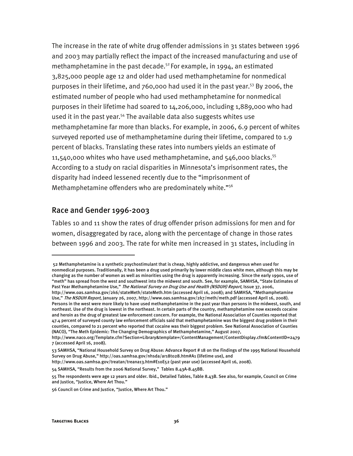The increase in the rate of white drug offender admissions in 31 states between 1996 and 2003 may partially reflect the impact of the increased manufacturing and use of methamphetamine in the past decade. $52$  For example, in 1994, an estimated 3,825,000 people age 12 and older had used methamphetamine for nonmedical purposes in their lifetime, and 760,000 had used it in the past year.<sup>53</sup> By 2006, the estimated number of people who had used methamphetamine for nonmedical purposes in their lifetime had soared to 14,206,000, including 1,889,000 who had used it in the past year.<sup>54</sup> The available data also suggests whites use methamphetamine far more than blacks. For example, in 2006, 6.9 percent of whites surveyed reported use of methamphetamine during their lifetime, compared to 1.9 percent of blacks. Translating these rates into numbers yields an estimate of 11,540,000 whites who have used methamphetamine, and  $546,000$  blacks.<sup>55</sup> According to a study on racial disparities in Minnesota's imprisonment rates, the disparity had indeed lessened recently due to the "imprisonment of Methamphetamine offenders who are predominately white."<sup>56</sup>

#### Race and Gender 1996-2003

Tables 10 and 11 show the rates of drug offender prison admissions for men and for women, disaggregated by race, along with the percentage of change in those rates between 1996 and 2003. The rate for white men increased in 31 states, including in

j

 <sup>52</sup> Methamphetamine is a synthetic psychostimulant that is cheap, highly addictive, and dangerous when used for nonmedical purposes. Traditionally, it has been a drug used primarily by lower middle class white men, although this may be changing as the number of women as well as minorities using the drug is apparently increasing. Since the early 1990s, use of "meth" has spread from the west and southwest into the midwest and south. See, for example, SAMHSA, "State Estimates of Past Year Methamphetamine Use," The National Survey on Drug Use and Health (NSDUH) Report, Issue 37, 2006,

http://www.oas.samhsa.gov/2k6/stateMeth/stateMeth.htm (accessed April 16, 2008); and SAMHSA, "Methamphetamine Use," The NSDUH Report, January 26, 2007, http://www.oas.samhsa.gov/2k7/meth/meth.pdf (accessed April 16, 2008). Persons in the west were more likely to have used methamphetamine in the past year than persons in the midwest, south, and northeast. Use of the drug is lowest in the northeast. In certain parts of the country, methamphetamine now exceeds cocaine and heroin as the drug of greatest law enforcement concern. For example, the National Association of Counties reported that 47.4 percent of surveyed county law enforcement officials said that methamphetamine was the biggest drug problem in their counties, compared to 21 percent who reported that cocaine was their biggest problem. See National Association of Counties (NACO), "The Meth Epidemic: The Changing Demographics of Methamphetamine," August 2007,

http://www.naco.org/Template.cfm?Section=Library&template=/ContentManagement/ContentDisplay.cfm&ContentID=2479 7 (accessed April 16, 2008).

<sup>53</sup> SAMHSA, "National Household Survey on Drug Abuse: Advance Report # 18 on the Findings of the 1995 National Household Survey on Drug Abuse," http://oas.samhsa.gov/nhsda/ar18t028.htm#A1 (lifetime use), and

http://www.oas.samhsa.gov/treatan/treana13.htm#E10E52 (past year use) (accessed April 16, 2008).

<sup>54</sup> SAMHSA, "Results from the 2006 National Survey," Tables 8.43A-8.45BB.

<sup>55</sup> The respondents were age 12 years and older. Ibid., Detailed Tables, Table 8.43B. See also, for example, Council on Crime and Justice, "Justice, Where Art Thou."

<sup>56</sup> Council on Crime and Justice, "Justice, Where Art Thou."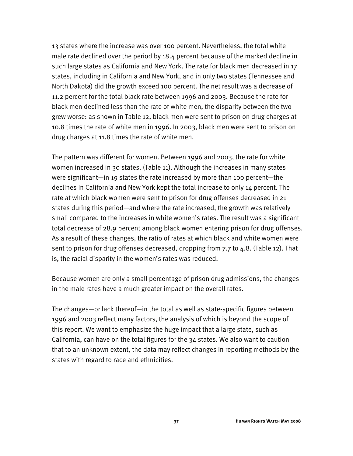13 states where the increase was over 100 percent. Nevertheless, the total white male rate declined over the period by 18.4 percent because of the marked decline in such large states as California and New York. The rate for black men decreased in 17 states, including in California and New York, and in only two states (Tennessee and North Dakota) did the growth exceed 100 percent. The net result was a decrease of 11.2 percent for the total black rate between 1996 and 2003. Because the rate for black men declined less than the rate of white men, the disparity between the two grew worse: as shown in Table 12, black men were sent to prison on drug charges at 10.8 times the rate of white men in 1996. In 2003, black men were sent to prison on drug charges at 11.8 times the rate of white men.

The pattern was different for women. Between 1996 and 2003, the rate for white women increased in 30 states. (Table 11). Although the increases in many states were significant—in 19 states the rate increased by more than 100 percent—the declines in California and New York kept the total increase to only 14 percent. The rate at which black women were sent to prison for drug offenses decreased in 21 states during this period—and where the rate increased, the growth was relatively small compared to the increases in white women's rates. The result was a significant total decrease of 28.9 percent among black women entering prison for drug offenses. As a result of these changes, the ratio of rates at which black and white women were sent to prison for drug offenses decreased, dropping from 7.7 to 4.8. (Table 12). That is, the racial disparity in the women's rates was reduced.

Because women are only a small percentage of prison drug admissions, the changes in the male rates have a much greater impact on the overall rates.

The changes—or lack thereof—in the total as well as state-specific figures between 1996 and 2003 reflect many factors, the analysis of which is beyond the scope of this report. We want to emphasize the huge impact that a large state, such as California, can have on the total figures for the 34 states. We also want to caution that to an unknown extent, the data may reflect changes in reporting methods by the states with regard to race and ethnicities.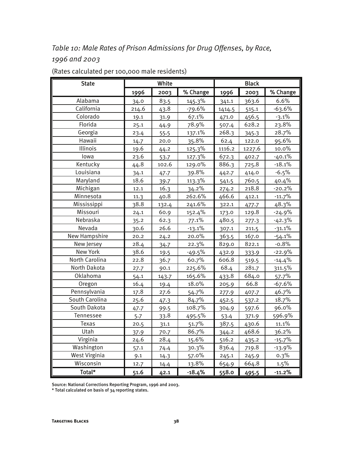### *Table 10: Male Rates of Prison Admissions for Drug Offenses, by Race, 1996 and 2003*

| <b>State</b>         | White |       |          | <b>Black</b> |        |          |  |
|----------------------|-------|-------|----------|--------------|--------|----------|--|
|                      | 1996  | 2003  | % Change | 1996         | 2003   | % Change |  |
| Alabama              | 34.0  | 83.5  | 145.3%   | 341.1        | 363.6  | 6.6%     |  |
| California           | 214.6 | 43.8  | $-79.6%$ | 1414.5       | 515.1  | $-63.6%$ |  |
| Colorado             | 19.1  | 31.9  | 67.1%    | 471.0        | 456.5  | $-3.1%$  |  |
| Florida              | 25.1  | 44.9  | 78.9%    | 507.4        | 628.2  | 23.8%    |  |
| Georgia              | 23.4  | 55.5  | 137.1%   | 268.3        | 345.3  | 28.7%    |  |
| Hawaii               | 14.7  | 20.0  | 35.8%    | 62.4         | 122.0  | 95.6%    |  |
| Illinois             | 19.6  | 44.2  | 125.3%   | 1116.2       | 1227.6 | 10.0%    |  |
| lowa                 | 23.6  | 53.7  | 127.3%   | 672.3        | 402.7  | $-40.1%$ |  |
| Kentucky             | 44.8  | 102.6 | 129.0%   | 886.3        | 725.8  | $-18.1%$ |  |
| Louisiana            | 34.1  | 47.7  | 39.8%    | 442.7        | 414.0  | $-6.5%$  |  |
| Maryland             | 18.6  | 39.7  | 113.3%   | 541.5        | 760.5  | 40.4%    |  |
| Michigan             | 12.1  | 16.3  | 34.2%    | 274.2        | 218.8  | $-20.2%$ |  |
| Minnesota            | 11.3  | 40.8  | 262.6%   | 466.6        | 412.1  | $-11.7%$ |  |
| Mississippi          | 38.8  | 132.4 | 241.6%   | 322.1        | 477.7  | 48.3%    |  |
| Missouri             | 24.1  | 60.9  | 152.4%   | 173.0        | 129.8  | $-24.9%$ |  |
| Nebraska             | 35.2  | 62.3  | 77.1%    | 480.5        | 277.3  | $-42.3%$ |  |
| Nevada               | 30.6  | 26.6  | $-13.1%$ | 307.1        | 211.5  | $-31.1%$ |  |
| New Hampshire        | 20.2  | 24.2  | 20.0%    | 363.5        | 167.0  | $-54.1%$ |  |
| New Jersey           | 28.4  | 34.7  | 22.3%    | 829.0        | 822.1  | $-0.8%$  |  |
| New York             | 38.6  | 19.5  | $-49.5%$ | 432.9        | 333.9  | $-22.9%$ |  |
| North Carolina       | 22.8  | 36.7  | 60.7%    | 606.8        | 519.5  | $-14.4%$ |  |
| North Dakota         | 27.7  | 90.1  | 225.6%   | 68.4         | 281.7  | 311.5%   |  |
| Oklahoma             | 54.1  | 143.7 | 165.6%   | 433.8        | 684.0  | 57.7%    |  |
| Oregon               | 16.4  | 19.4  | 18.0%    | 205.9        | 66.8   | $-67.6%$ |  |
| Pennsylvania         | 17.8  | 27.6  | 54.7%    | 277.9        | 407.7  | 46.7%    |  |
| South Carolina       | 25.6  | 47.3  | 84.7%    | 452.5        | 537.2  | 18.7%    |  |
| South Dakota         | 47.7  | 99.5  | 108.7%   | 304.9        | 597.6  | 96.0%    |  |
| Tennessee            | 5.7   | 33.8  | 495.5%   | 53.4         | 371.9  | 596.9%   |  |
| Texas                | 20.5  | 31.1  | 51.7%    | 387.5        | 430.6  | 11.1%    |  |
| Utah                 | 37.9  | 70.7  | 86.7%    | 344.2        | 468.6  | 36.2%    |  |
| Virginia             | 24.6  | 28.4  | 15.6%    | 516.2        | 435.2  | $-15.7%$ |  |
| Washington           | 57.1  | 74.4  | 30.3%    | 836.4        | 719.8  | $-13.9%$ |  |
| <b>West Virginia</b> | 9.1   | 14.3  | 57.0%    | 245.1        | 245.9  | 0.3%     |  |
| Wisconsin            | 12.7  | 14.4  | 13.8%    | 654.9        | 664.8  | 1.5%     |  |
| Total*               | 51.6  | 42.1  | $-18.4%$ | 558.0        | 495.5  | $-11.2%$ |  |

#### (Rates calculated per 100,000 male residents)

Source: National Corrections Reporting Program, 1996 and 2003.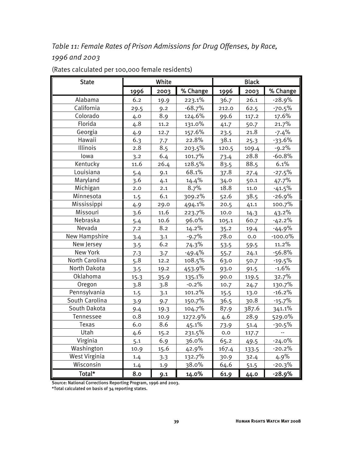### *Table 11: Female Rates of Prison Admissions for Drug Offenses, by Race, 1996 and 2003*

| <b>State</b>   | White |                  |          | <b>Black</b> |       |            |  |
|----------------|-------|------------------|----------|--------------|-------|------------|--|
|                | 1996  | % Change<br>2003 |          | 1996         | 2003  | % Change   |  |
| Alabama        | 6.2   | 19.9             | 223.1%   | 36.7         | 26.1  | $-28.9%$   |  |
| California     | 29.5  | 9.2              | $-68.7%$ | 212.0        | 62.5  | $-70.5%$   |  |
| Colorado       | 4.0   | 8.9              | 124.6%   | 99.6         | 117.2 | 17.6%      |  |
| Florida        | 4.8   | 11.2             | 131.0%   | 41.7         | 50.7  | 21.7%      |  |
| Georgia        | 4.9   | 12.7             | 157.6%   | 23.5         | 21.8  | $-7.4%$    |  |
| Hawaii         | 6.3   | 7.7              | 22.8%    | 38.1         | 25.3  | $-33.6%$   |  |
| Illinois       | 2.8   | 8.5              | 203.5%   | 120.5        | 109.4 | $-9.2%$    |  |
| lowa           | 3.2   | 6.4              | 101.7%   | 73.4         | 28.8  | $-60.8%$   |  |
| Kentucky       | 11.6  | 26.4             | 128.5%   | 83.5         | 88.5  | 6.1%       |  |
| Louisiana      | 5.4   | 9.1              | 68.1%    | 37.8         | 27.4  | $-27.5%$   |  |
| Maryland       | 3.6   | 4.1              | 14.4%    | 34.0         | 50.1  | 47.7%      |  |
| Michigan       | 2.0   | 2.1              | 8.7%     | 18.8         | 11.0  | $-41.5%$   |  |
| Minnesota      | 1.5   | 6.1              | 309.2%   | 52.6         | 38.5  | $-26.9%$   |  |
| Mississippi    | 4.9   | 29.0             | 494.1%   | 20.5         | 41.1  | 100.7%     |  |
| Missouri       | 3.6   | 11.6             | 223.7%   | 10.0         | 14.3  | 43.2%      |  |
| Nebraska       | 5.4   | 10.6             | 96.0%    | 105.1        | 60.7  | $-42.2%$   |  |
| Nevada         | 7.2   | 8.2              | 14.2%    | 35.2         | 19.4  | $-44.9%$   |  |
| New Hampshire  | 3.4   | 3.1              | $-9.7%$  | 78.0         | 0.0   | $-100.0\%$ |  |
| New Jersey     | 3.5   | 6.2              | 74.3%    | 53.5         | 59.5  | 11.2%      |  |
| New York       | 7.3   | 3.7              | $-49.4%$ | 55.7         | 24.1  | $-56.8%$   |  |
| North Carolina | 5.8   | 12.2             | 108.5%   | 63.0         | 50.7  | $-19.5%$   |  |
| North Dakota   | 3.5   | 19.2             | 453.9%   | 93.0         | 91.5  | $-1.6%$    |  |
| Oklahoma       | 15.3  | 35.9             | 135.1%   | 90.0         | 119.5 | 32.7%      |  |
| Oregon         | 3.8   | 3.8              | $-0.2%$  | 10.7         | 24.7  | 130.7%     |  |
| Pennsylvania   | 1.5   | 3.1              | 101.2%   | 15.5         | 13.0  | $-16.2%$   |  |
| South Carolina | 3.9   | 9.7              | 150.7%   | 36.5         | 30.8  | $-15.7%$   |  |
| South Dakota   | 9.4   | 19.3             | 104.7%   | 87.9         | 387.6 | 341.1%     |  |
| Tennessee      | 0.8   | 10.9             | 1272.9%  | 4.6          | 28.9  | 529.0%     |  |
| Texas          | 6.0   | 8.6              | 45.1%    | 73.9         | 51.4  | $-30.5%$   |  |
| Utah           | 4.6   | 15.2             | 231.5%   | $_{0.0}$     | 117.7 |            |  |
| Virginia       | 5.1   | 6.9              | 36.0%    | 65.2         | 49.5  | $-24.0%$   |  |
| Washington     | 10.9  | 15.6             | 42.9%    | 167.4        | 133.5 | $-20.2%$   |  |
| West Virginia  | 1.4   | 3.3              | 132.7%   | 30.9         | 32.4  | 4.9%       |  |
| Wisconsin      | 1.4   | 1.9              | 38.0%    | 64.6         | 51.5  | $-20.3%$   |  |
| Total*         | 8.0   | 9.1              | 14.0%    | 61.9         | 44.0  | $-28.9%$   |  |

#### (Rates calculated per 100,000 female residents)

Source: National Corrections Reporting Program, 1996 and 2003.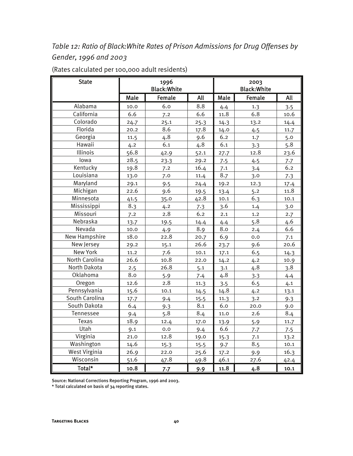*Table 12: Ratio of Black:White Rates of Prison Admissions for Drug Offenses by Gender, 1996 and 2003* 

| <b>State</b>         | 1996<br><b>Black: White</b> |               |      | 2003<br><b>Black: White</b> |        |      |  |
|----------------------|-----------------------------|---------------|------|-----------------------------|--------|------|--|
|                      | Male                        | <b>Female</b> | All  | Male                        | Female | All  |  |
| Alabama              | 10.0                        | 6.0           | 8.8  | 4.4                         | 1.3    | 3.5  |  |
| California           | 6.6                         | 7.2           | 6.6  | 11.8                        | 6.8    | 10.6 |  |
| Colorado             | 24.7                        | 25.1          | 25.3 | 14.3                        | 13.2   | 14.4 |  |
| Florida              | 20.2                        | 8.6           | 17.8 | 14.0                        | 4.5    | 11.7 |  |
| Georgia              | 11.5                        | 4.8           | 9.6  | 6.2                         | 1.7    | 5.0  |  |
| Hawaii               | 4.2                         | 6.1           | 4.8  | 6.1                         | 3.3    | 5.8  |  |
| Illinois             | 56.8                        | 42.9          | 52.1 | 27.7                        | 12.8   | 23.6 |  |
| lowa                 | 28.5                        | 23.3          | 29.2 | 7.5                         | 4.5    | 7.7  |  |
| Kentucky             | 19.8                        | 7.2           | 16.4 | 7.1                         | 3.4    | 6.2  |  |
| Louisiana            | 13.0                        | 7.0           | 11.4 | 8.7                         | 3.0    | 7.3  |  |
| Maryland             | 29.1                        | 9.5           | 24.4 | 19.2                        | 12.3   | 17.4 |  |
| Michigan             | 22.6                        | 9.6           | 19.5 | 13.4                        | 5.2    | 11.8 |  |
| Minnesota            | 41.5                        | 35.0          | 42.8 | 10.1                        | 6.3    | 10.1 |  |
| Mississippi          | 8.3                         | 4.2           | 7.3  | 3.6                         | 1.4    | 3.0  |  |
| Missouri             | 7.2                         | 2.8           | 6.2  | 2.1                         | 1.2    | 2.7  |  |
| Nebraska             | 13.7                        | 19.5          | 14.4 | 4.4                         | 5.8    | 4.6  |  |
| Nevada               | 10.0                        | 4.9           | 8.9  | 8.0                         | 2.4    | 6.6  |  |
| New Hampshire        | 18.0                        | 22.8          | 20.7 | 6.9                         | 0.0    | 7.1  |  |
| New Jersey           | 29.2                        | 15.1          | 26.6 | 23.7                        | 9.6    | 20.6 |  |
| <b>New York</b>      | 11.2                        | 7.6           | 10.1 | 17.1                        | 6.5    | 14.3 |  |
| North Carolina       | 26.6                        | 10.8          | 22.0 | 14.2                        | 4.2    | 10.9 |  |
| North Dakota         | 2.5                         | 26.8          | 5.1  | 3.1                         | 4.8    | 3.8  |  |
| Oklahoma             | 8.0                         | 5.9           | 7.4  | 4.8                         | 3.3    | 4.4  |  |
| Oregon               | 12.6                        | 2.8           | 11.3 | 3.5                         | 6.5    | 4.1  |  |
| Pennsylvania         | 15.6                        | 10.1          | 14.5 | 14.8                        | 4.2    | 13.1 |  |
| South Carolina       | 17.7                        | 9.4           | 15.5 | 11.3                        | 3.2    | 9.3  |  |
| South Dakota         | 6.4                         | 9.3           | 8.1  | 6.0                         | 20.0   | 9.0  |  |
| Tennessee            | 9.4                         | 5.8           | 8.4  | 11.0                        | 2.6    | 8.4  |  |
| Texas                | 18.9                        | 12.4          | 17.0 | 13.9                        | 5.9    | 11.7 |  |
| Utah                 | 9.1                         | 0.0           | 9.4  | 6.6                         | 7.7    | 7.5  |  |
| Virginia             | 21.0                        | 12.8          | 19.0 | 15.3                        | 7.1    | 13.2 |  |
| Washington           | 14.6                        | 15.3          | 15.5 | 9.7                         | 8.5    | 10.1 |  |
| <b>West Virginia</b> | 26.9                        | 22.0          | 25.6 | 17.2                        | 9.9    | 16.3 |  |
| Wisconsin            | 51.6                        | 47.8          | 49.8 | 46.1                        | 27.6   | 42.4 |  |
| Total*               | 10.8                        | 7.7           | 9.9  | 11.8                        | 4.8    | 10.1 |  |

(Rates calculated per 100,000 adult residents)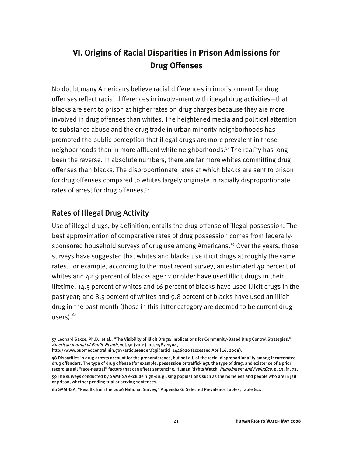### **VI. Origins of Racial Disparities in Prison Admissions for Drug Offenses**

No doubt many Americans believe racial differences in imprisonment for drug offenses reflect racial differences in involvement with illegal drug activities—that blacks are sent to prison at higher rates on drug charges because they are more involved in drug offenses than whites. The heightened media and political attention to substance abuse and the drug trade in urban minority neighborhoods has promoted the public perception that illegal drugs are more prevalent in those neighborhoods than in more affluent white neighborhoods.<sup>57</sup> The reality has long been the reverse. In absolute numbers, there are far more whites committing drug offenses than blacks. The disproportionate rates at which blacks are sent to prison for drug offenses compared to whites largely originate in racially disproportionate rates of arrest for drug offenses.<sup>58</sup>

#### Rates of Illegal Drug Activity

j

Use of illegal drugs, by definition, entails the drug offense of illegal possession. The best approximation of comparative rates of drug possession comes from federallysponsored household surveys of drug use among Americans.<sup>59</sup> Over the years, those surveys have suggested that whites and blacks use illicit drugs at roughly the same rates. For example, according to the most recent survey, an estimated 49 percent of whites and  $42.9$  percent of blacks age 12 or older have used illicit drugs in their lifetime; 14.5 percent of whites and 16 percent of blacks have used illicit drugs in the past year; and 8.5 percent of whites and 9.8 percent of blacks have used an illicit drug in the past month (those in this latter category are deemed to be current drug  $uses).<sup>60</sup>$ 

<sup>57</sup> Leonard Saxce, Ph.D., et al., "The Visibility of Illicit Drugs: Implications for Community-Based Drug Control Strategies," American Journal of Public Health, vol. 91 (2001), pp. 1987-1994,

http://www.pubmedcentral.nih.gov/articlerender.fcgi?artid=1446920 (accessed April 16, 2008).

<sup>58</sup> Disparities in drug arrests account for the preponderance, but not all, of the racial disproportionality among incarcerated drug offenders. The type of drug offense (for example, possession or trafficking), the type of drug, and existence of a prior record are all "race-neutral" factors that can affect sentencing. Human Rights Watch, Punishment and Prejudice, p. 19, fn. 72.

<sup>59</sup> The surveys conducted by SAMHSA exclude high-drug using populations such as the homeless and people who are in jail or prison, whether pending trial or serving sentences.

<sup>60</sup> SAMHSA, "Results from the 2006 National Survey," Appendix G: Selected Prevalence Tables, Table G.1.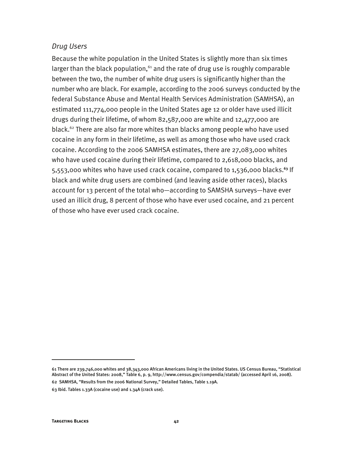#### *Drug Users*

Because the white population in the United States is slightly more than six times larger than the black population, $61$  and the rate of drug use is roughly comparable between the two, the number of white drug users is significantly higher than the number who are black. For example, according to the 2006 surveys conducted by the federal Substance Abuse and Mental Health Services Administration (SAMHSA), an estimated 111,774,000 people in the United States age 12 or older have used illicit drugs during their lifetime, of whom 82,587,000 are white and 12,477,000 are black.<sup>62</sup> There are also far more whites than blacks among people who have used cocaine in any form in their lifetime, as well as among those who have used crack cocaine. According to the 2006 SAMHSA estimates, there are 27,083,000 whites who have used cocaine during their lifetime, compared to 2,618,000 blacks, and 5,553,000 whites who have used crack cocaine, compared to 1,536,000 blacks.**<sup>63</sup>** If black and white drug users are combined (and leaving aside other races), blacks account for 13 percent of the total who—according to SAMSHA surveys—have ever used an illicit drug, 8 percent of those who have ever used cocaine, and 21 percent of those who have ever used crack cocaine.

j

<sup>61</sup> There are 239,746,000 whites and 38,343,000 African Americans living in the United States. US Census Bureau, "Statistical Abstract of the United States: 2008," Table 6, p. 9, http://www.census.gov/compendia/statab/ (accessed April 16, 2008).

<sup>62</sup> SAMHSA, "Results from the 2006 National Survey," Detailed Tables, Table 1.19A.

<sup>63</sup> Ibid. Tables 1.33A (cocaine use) and 1.34A (crack use).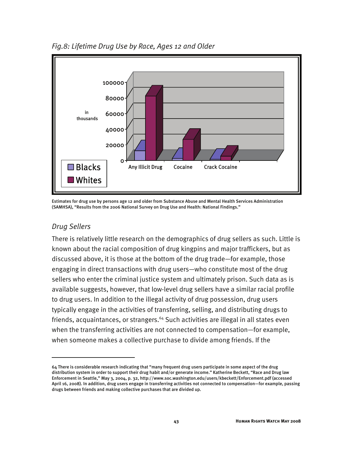

*Fig.8: Lifetime Drug Use by Race, Ages 12 and Older* 

Estimates for drug use by persons age 12 and older from Substance Abuse and Mental Health Services Administration (SAMHSA), "Results from the 2006 National Survey on Drug Use and Health: National Findings."

#### *Drug Sellers*

j

There is relatively little research on the demographics of drug sellers as such. Little is known about the racial composition of drug kingpins and major traffickers, but as discussed above, it is those at the bottom of the drug trade—for example, those engaging in direct transactions with drug users—who constitute most of the drug sellers who enter the criminal justice system and ultimately prison. Such data as is available suggests, however, that low-level drug sellers have a similar racial profile to drug users. In addition to the illegal activity of drug possession, drug users typically engage in the activities of transferring, selling, and distributing drugs to friends, acquaintances, or strangers.<sup>64</sup> Such activities are illegal in all states even when the transferring activities are not connected to compensation—for example, when someone makes a collective purchase to divide among friends. If the

<sup>64</sup> There is considerable research indicating that "many frequent drug users participate in some aspect of the drug distribution system in order to support their drug habit and/or generate income." Katherine Beckett, "Race and Drug law Enforcement in Seattle," May 3, 2004, p. 32, http://www.soc.washington.edu/users/kbeckett/Enforcement.pdf (accessed April 16, 2008). In addition, drug users engage in transferring activities not connected to compensation—for example, passing drugs between friends and making collective purchases that are divided up.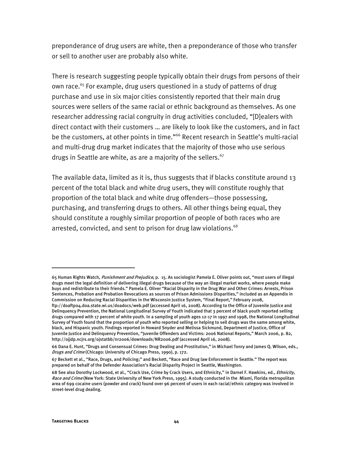preponderance of drug users are white, then a preponderance of those who transfer or sell to another user are probably also white.

There is research suggesting people typically obtain their drugs from persons of their own race.<sup>65</sup> For example, drug users questioned in a study of patterns of drug purchase and use in six major cities consistently reported that their main drug sources were sellers of the same racial or ethnic background as themselves. As one researcher addressing racial congruity in drug activities concluded, "[D]ealers with direct contact with their customers … are likely to look like the customers, and in fact be the customers, at other points in time."<sup>66</sup> Recent research in Seattle's multi-racial and multi-drug drug market indicates that the majority of those who use serious drugs in Seattle are white, as are a majority of the sellers.<sup>67</sup>

The available data, limited as it is, thus suggests that if blacks constitute around 13 percent of the total black and white drug users, they will constitute roughly that proportion of the total black and white drug offenders—those possessing, purchasing, and transferring drugs to others. All other things being equal, they should constitute a roughly similar proportion of people of both races who are arrested, convicted, and sent to prison for drug law violations.<sup>68</sup>

I

<sup>65</sup> Human Rights Watch, Punishment and Prejudice, p. 15. As sociologist Pamela E. Oliver points out, "most users of illegal drugs meet the legal definition of delivering illegal drugs because of the way an illegal market works, where people make buys and redistribute to their friends." Pamela E. Oliver "Racial Disparity in the Drug War and Other Crimes: Arrests, Prison Sentences, Probation and Probation Revocations as sources of Prison Admissions Disparities," included as an Appendix in Commission on Reducing Racial Disparities in the Wisconsin Justice System, "Final Report," February 2008, ftp://doaftp04.doa.state.wi.us/doadocs/web.pdf (accessed April 16, 2008). According to the Office of Juvenile Justice and Delinquency Prevention, the National Longitudinal Survey of Youth indicated that 3 percent of black youth reported selling drugs compared with 17 percent of white youth. In a sampling of youth ages 12-17 in 1997 and 1998, the National Longitudinal Survey of Youth found that the proportion of youth who reported selling or helping to sell drugs was the same among white, black, and Hispanic youth. Findings reported in Howard Snyder and Melissa Sickmund, Department of Justice, Office of Juvenile Justice and Delinquency Prevention, "Juvenile Offenders and Victims: 2006 National Reports," March 2006, p. 82, http://ojjdp.ncjrs.org/ojstatbb/nr2006/downloads/NR2006.pdf (accessed April 16, 2008).

<sup>66</sup> Dana E. Hunt, "Drugs and Consensual Crimes: Drug Dealing and Prostitution," in Michael Tonry and James Q. Wilson, eds., Drugs and Crime (Chicago: University of Chicago Press, 1990), p. 172.

<sup>67</sup> Beckett et al., "Race, Drugs, and Policing;" and Beckett, "Race and Drug law Enforcement in Seattle." The report was prepared on behalf of the Defender Association's Racial Disparity Project in Seattle, Washington.

<sup>68</sup> See also Dorothy Lockwood, et al., "Crack Use, Crime by Crack Users, and Ethnicity," in Darnel F. Hawkins, ed., Ethnicity, Race and Crime (New York: State University of New York Press, 1995). A study conducted in the Miami, Florida metropolitan area of 699 cocaine users (powder and crack) found over 96 percent of users in each racial/ethnic category was involved in street-level drug dealing.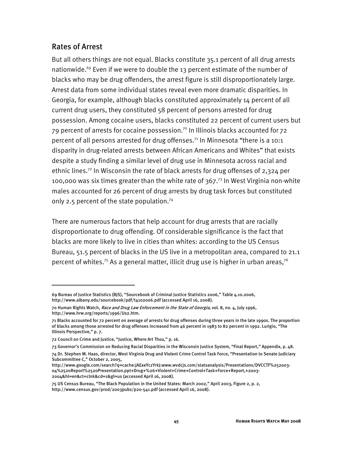#### Rates of Arrest

-

But all others things are not equal. Blacks constitute 35.1 percent of all drug arrests nationwide.<sup>69</sup> Even if we were to double the 13 percent estimate of the number of blacks who may be drug offenders, the arrest figure is still disproportionately large. Arrest data from some individual states reveal even more dramatic disparities. In Georgia, for example, although blacks constituted approximately 14 percent of all current drug users, they constituted 58 percent of persons arrested for drug possession. Among cocaine users, blacks constituted 22 percent of current users but  $79$  percent of arrests for cocaine possession.<sup>70</sup> In Illinois blacks accounted for  $72$ percent of all persons arrested for drug offenses.<sup>71</sup> In Minnesota "there is a 10:1 disparity in drug-related arrests between African Americans and Whites" that exists despite a study finding a similar level of drug use in Minnesota across racial and ethnic lines.<sup>72</sup> In Wisconsin the rate of black arrests for drug offenses of 2,324 per 100,000 was six times greater than the white rate of  $367<sup>73</sup>$  In West Virginia non-white males accounted for 26 percent of drug arrests by drug task forces but constituted only 2.5 percent of the state population.<sup>74</sup>

There are numerous factors that help account for drug arrests that are racially disproportionate to drug offending. Of considerable significance is the fact that blacks are more likely to live in cities than whites: according to the US Census Bureau, 51.5 percent of blacks in the US live in a metropolitan area, compared to 21.1 percent of whites.<sup>75</sup> As a general matter, illicit drug use is higher in urban areas,<sup>76</sup>

<sup>69</sup> Bureau of Justice Statistics (BJS), "Sourcebook of Criminal Justice Statistics 2006," Table 4.10.2006, http://www.albany.edu/sourcebook/pdf/t4102006.pdf (accessed April 16, 2008).

<sup>70</sup> Human Rights Watch, *Race and Drug Law Enforcement in the State of Georgia*, vol. 8, no. 4, July 1996, http://www.hrw.org/reports/1996/Us2.htm.

<sup>71</sup> Blacks accounted for 72 percent on average of arrests for drug offenses during three years in the late 1990s. The proportion of blacks among those arrested for drug offenses increased from 46 percent in 1983 to 82 percent in 1992. Lurigio, "The Illinois Perspective," p. 7.

<sup>72</sup> Council on Crime and Justice, "Justice, Where Art Thou," p. 16.

<sup>73</sup> Governor's Commission on Reducing Racial Disparities in the Wisconsin Justice System, "Final Report," Appendix, p. 48.

<sup>74</sup> Dr. Stephen M. Haas, director, West Virginia Drug and Violent Crime Control Task Force, "Presentation to Senate Judiciary Subcommittee C," October 2, 2005,

http://www.google.com/search?q=cache:jAExeYczYrkJ:www.wvdcjs.com/statsanalysis/Presentations/DVCCTF%252003- 04%2520Report%2520Presentation.ppt+Drug+%26+Violent+Crime+Control+Task+Force+Report,+2003- 2004&hl=en&ct=clnk&cd=1&gl=us (accessed April 16, 2008).

<sup>75</sup> US Census Bureau, "The Black Population in the United States: March 2002," April 2003, Figure 2, p. 2, http://www.census.gov/prod/2003pubs/p20-541.pdf (accessed April 16, 2008).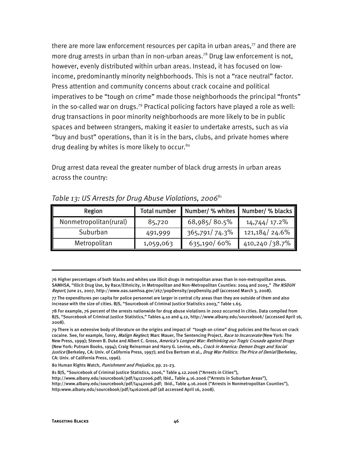there are more law enforcement resources per capita in urban areas, $77$  and there are more drug arrests in urban than in non-urban areas.<sup>78</sup> Drug law enforcement is not, however, evenly distributed within urban areas. Instead, it has focused on lowincome, predominantly minority neighborhoods. This is not a "race neutral" factor. Press attention and community concerns about crack cocaine and political imperatives to be "tough on crime" made those neighborhoods the principal "fronts" in the so-called war on drugs.<sup>79</sup> Practical policing factors have played a role as well: drug transactions in poor minority neighborhoods are more likely to be in public spaces and between strangers, making it easier to undertake arrests, such as via "buy and bust" operations, than it is in the bars, clubs, and private homes where drug dealing by whites is more likely to occur.<sup>80</sup>

Drug arrest data reveal the greater number of black drug arrests in urban areas across the country:

| Region                 | Total number |               | Number/ % whites   Number/ % blacks |
|------------------------|--------------|---------------|-------------------------------------|
| Nonmetropolitan(rural) | 85,720       | 68,985/80.5%  | 14,744 / 17.2%                      |
| Suburban               | 491,999      | 365,791/74.3% | 121,184/24.6%                       |
| Metropolitan           | 1,059,063    | 635,190/60%   | 410,240 / 38.7%                     |

*Table 13: US Arrests for Drug Abuse Violations, 2006*<sup>81</sup>

76 Higher percentages of both blacks and whites use illicit drugs in metropolitan areas than in non-metropolitan areas. SAMHSA, "Illicit Drug Use, by Race/Ethnicity, in Metropolitan and Non-Metropolitan Counties: 2004 and 2005," The NSDUH Report, June 21, 2007, http://www.oas.samhsa.gov/2k7/popDensity/popDensity.pdf (accessed March 3, 2008).

77 The expenditures per capita for police personnel are larger in central city areas than they are outside of them and also increase with the size of cities. BJS, "Sourcebook of Criminal Justice Statistics 2003," Table 1.65.

78 For example, 76 percent of the arrests nationwide for drug abuse violations in 2002 occurred in cities. Data compiled from BJS, "Sourcebook of Criminal Justice Statistics," Tables 4.10 and 4.12, http://www.albany.edu/sourcebook/ (accessed April 16, 2008).

79 There is an extensive body of literature on the origins and impact of "tough on crime" drug policies and the focus on crack cocaine. See, for example, Tonry, Malign Neglect; Marc Mauer, The Sentencing Project, Race to Incarcerate (New York: The New Press, 1999); Steven B. Duke and Albert C. Gross, America's Longest War: Rethinking our Tragic Crusade against Drugs (New York: Putnam Books, 1994); Craig Reinarman and Harry G. Levine, eds., Crack in America: Demon Drugs and Social Justice (Berkeley, CA: Univ. of California Press, 1997); and Eva Bertram et al., *Drug War Politics: The Price of Denial* (Berkeley, CA: Univ. of California Press, 1996).

80 Human Rights Watch, Punishment and Prejudice, pp. 21-23.

81 BJS, "Sourcebook of Criminal Justice Statistics, 2006," Table 4.12.2006 ("Arrests in Cities"), http://www.albany.edu/sourcebook/pdf/t4122006.pdf; Ibid., Table 4.16.2006 ("Arrests in Suburban Areas"), http://www.albany.edu/sourcebook/pdf/t4142006.pdf; Ibid., Table 4.16.2006 ("Arrests in Nonmetropolitan Counties"), http:www.albany.edu/sourcebook/pdf/t4162006.pdf (all accessed April 16, 2008).

I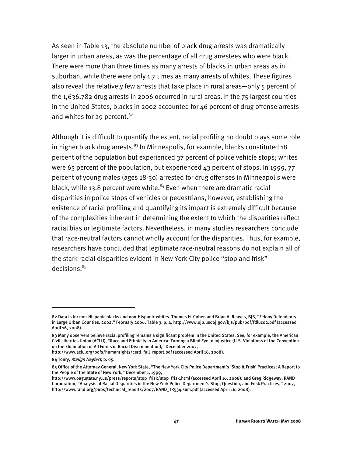As seen in Table 13, the absolute number of black drug arrests was dramatically larger in urban areas, as was the percentage of all drug arrestees who were black. There were more than three times as many arrests of blacks in urban areas as in suburban, while there were only 1.7 times as many arrests of whites. These figures also reveal the relatively few arrests that take place in rural areas—only 5 percent of the 1,636,782 drug arrests in 2006 occurred in rural areas.In the 75 largest counties in the United States, blacks in 2002 accounted for 46 percent of drug offense arrests and whites for 29 percent.<sup>82</sup>

Although it is difficult to quantify the extent, racial profiling no doubt plays some role in higher black drug arrests.<sup>83</sup> In Minneapolis, for example, blacks constituted 18 percent of the population but experienced 37 percent of police vehicle stops; whites were 65 percent of the population, but experienced 43 percent of stops. In 1999, 77 percent of young males (ages 18-30) arrested for drug offenses in Minneapolis were black, while 13.8 percent were white.<sup>84</sup> Even when there are dramatic racial disparities in police stops of vehicles or pedestrians, however, establishing the existence of racial profiling and quantifying its impact is extremely difficult because of the complexities inherent in determining the extent to which the disparities reflect racial bias or legitimate factors. Nevertheless, in many studies researchers conclude that race-neutral factors cannot wholly account for the disparities. Thus, for example, researchers have concluded that legitimate race-neutral reasons do not explain all of the stark racial disparities evident in New York City police "stop and frisk" decisions.<sup>85</sup>

I

<sup>82</sup> Data is for non-Hispanic blacks and non-Hispanic whites. Thomas H. Cohen and Brian A. Reaves, BJS, "Felony Defendants in Large Urban Counties, 2002," February 2006, Table 3, p. 4, http://www.ojp.usdoj.gov/bjs/pub/pdf/fdluc02.pdf (accessed April 16, 2008).

<sup>83</sup> Many observers believe racial profiling remains a significant problem in the United States. See, for example, the American Civil Liberties Union (ACLU), "Race and Ethnicity in America: Turning a Blind Eye to Injustice (U.S. Violations of the Convention on the Elimination of All Forms of Racial Discrimination)," December 2007,

http://www.aclu.org/pdfs/humanrights/cerd\_full\_report.pdf (accessed April 16, 2008).

<sup>84</sup> Tonry, Malign Neglect, p. 65.

<sup>85</sup> Office of the Attorney General, New York State, "The New York City Police Department's 'Stop & Frisk' Practices: A Report to the People of the State of New York," December 1, 1999,

http://www.oag.state.ny.us/press/reports/stop\_frisk/stop\_frisk.html (accessed April 16, 2008); and Greg Ridgeway, RAND Corporation, "Analysis of Racial Disparities in the New York Police Department's Stop, Question, and Frisk Practices," 2007, http://www.rand.org/pubs/technical\_reports/2007/RAND\_TR534.sum.pdf (accessed April 16, 2008).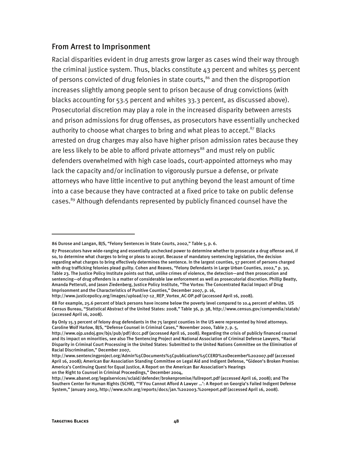#### From Arrest to Imprisonment

Racial disparities evident in drug arrests grow larger as cases wind their way through the criminal justice system. Thus, blacks constitute 43 percent and whites 55 percent of persons convicted of drug felonies in state courts,<sup>86</sup> and then the disproportion increases slightly among people sent to prison because of drug convictions (with blacks accounting for 53.5 percent and whites 33.3 percent, as discussed above). Prosecutorial discretion may play a role in the increased disparity between arrests and prison admissions for drug offenses, as prosecutors have essentially unchecked authority to choose what charges to bring and what pleas to accept. $87$  Blacks arrested on drug charges may also have higher prison admission rates because they are less likely to be able to afford private attorneys $88$  and must rely on public defenders overwhelmed with high case loads, court-appointed attorneys who may lack the capacity and/or inclination to vigorously pursue a defense, or private attorneys who have little incentive to put anything beyond the least amount of time into a case because they have contracted at a fixed price to take on public defense cases.<sup>89</sup> Although defendants represented by publicly financed counsel have the

j

<sup>86</sup> Durose and Langan, BJS, "Felony Sentences in State Courts, 2002," Table 5, p. 6.

<sup>87</sup> Prosecutors have wide-ranging and essentially unchecked power to determine whether to prosecute a drug offense and, if so, to determine what charges to bring or pleas to accept. Because of mandatory sentencing legislation, the decision regarding what charges to bring effectively determines the sentence. In the largest counties, 57 percent of persons charged with drug trafficking felonies plead guilty. Cohen and Reaves, "Felony Defendants in Large Urban Counties, 2002," p. 30, Table 23. The Justice Policy Institute points out that, unlike crimes of violence, the detection—and then prosecution and sentencing—of drug offenders is a matter of considerable law enforcement as well as prosecutorial discretion. Phillip Beatty, Amanda Petteruti, and Jason Ziedenberg, Justice Policy Institute, "The Vortex: The Concentrated Racial Impact of Drug Imprisonment and the Characteristics of Punitive Counties," December 2007, p. 16,

http://www.justicepolicy.org/images/upload/07-12\_REP\_Vortex\_AC-DP.pdf (accessed April 16, 2008).

<sup>88</sup> For example, 25.6 percent of black persons have income below the poverty level compared to 10.4 percent of whites. US Census Bureau, "Statistical Abstract of the United States: 2008," Table 36, p. 38, http://www.census.gov/compendia/statab/ (accessed April 16, 2008).

<sup>89</sup> Only 15.3 percent of felony drug defendants in the 75 largest counties in the US were represented by hired attorneys. Caroline Wolf Harlow, BJS, "Defense Counsel in Criminal Cases," November 2000, Table 7, p. 5,

http://www.ojp.usdoj.gov/bjs/pub/pdf/dccc.pdf (accessed April 16, 2008). Regarding the crisis of publicly financed counsel and its impact on minorities, see also The Sentencing Project and National Association of Criminal Defense Lawyers, "Racial Disparity in Criminal Court Processing in the United States: Submitted to the United Nations Committee on the Elimination of Racial Discrimination," December 2007,

http://www.sentencingproject.org/Admin%5CDocuments%5Cpublications%5CCERD%20December%202007.pdf (accessed April 16, 2008); American Bar Association Standing Committee on Legal Aid and Indigent Defense, "Gideon's Broken Promise: America's Continuing Quest for Equal Justice, A Report on the American Bar Association's Hearings on the Right to Counsel in Criminal Proceedings," December 2004,

http://www.abanet.org/legalservices/sclaid/defender/brokenpromise/fullreport.pdf (accessed April 16, 2008); and The Southern Center for Human Rights (SCHR), "'If You Cannot Afford A Lawyer …': A Report on Georgia's Failed Indigent Defense System," January 2003, http://www.schr.org/reports/docs/jan.%202003.%20report.pdf (accessed April 16, 2008).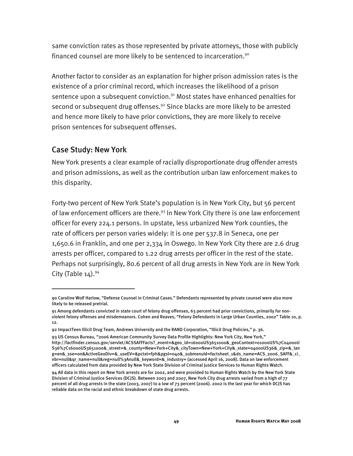same conviction rates as those represented by private attorneys, those with publicly financed counsel are more likely to be sentenced to incarceration.<sup>90</sup>

Another factor to consider as an explanation for higher prison admission rates is the existence of a prior criminal record, which increases the likelihood of a prison sentence upon a subsequent conviction.<sup>91</sup> Most states have enhanced penalties for second or subsequent drug offenses.<sup>92</sup> Since blacks are more likely to be arrested and hence more likely to have prior convictions, they are more likely to receive prison sentences for subsequent offenses.

#### Case Study: New York

-

New York presents a clear example of racially disproportionate drug offender arrests and prison admissions, as well as the contribution urban law enforcement makes to this disparity.

Forty-two percent of New York State's population is in New York City, but 56 percent of law enforcement officers are there.<sup>93</sup> In New York City there is one law enforcement officer for every 224.1 persons. In upstate, less urbanized New York counties, the rate of officers per person varies widely: it is one per 537.8 in Seneca, one per 1,650.6 in Franklin, and one per 2,334 in Oswego. In New York City there are 2.6 drug arrests per officer, compared to 1.22 drug arrests per officer in the rest of the state. Perhaps not surprisingly, 80.6 percent of all drug arrests in New York are in New York City (Table  $14$ ).<sup>94</sup>

<sup>90</sup> Caroline Wolf Harlow, "Defense Counsel in Criminal Cases." Defendants represented by private counsel were also more likely to be released pretrial.

<sup>91</sup> Among defendants convicted in state court of felony drug offenses, 63 percent had prior convictions, primarily for nonviolent felony offenses and misdemeanors. Cohen and Reaves, "Felony Defendants in Large Urban Counties, 2002" Table 10, p. 12.

<sup>92</sup> ImpactTeen Illicit Drug Team, Andrews University and the RAND Corporation, "Illicit Drug Policies," p. 36.

<sup>93</sup> US Census Bureau, "2006 American Community Survey Data Profile Highlights: New York City, New York," http://factfinder.census.gov/servlet/ACSSAFFFacts?\_event=&geo\_id=16000US3651000&\_geoContext=01000US%7C04000U S36%7C16000US3651000&\_street=&\_county=New+York+City&\_cityTown=New+York+City&\_state=04000US36&\_zip=&\_lan g=en&\_sse=on&ActiveGeoDiv=&\_useEV=&pctxt=fph&pgsl=040&\_submenuId=factsheet\_1&ds\_name=ACS\_2006\_SAFF&\_ci\_ nbr=null&qr\_name=null&reg=null%3Anull&\_keyword=&\_industry= (accessed April 16, 2008). Data on law enforcement officers calculated from data provided by New York State Division of Criminal Justice Services to Human Rights Watch.

<sup>94</sup> All data in this report on New York arrests are for 2002, and were provided to Human Rights Watch by the New York State Division of Criminal Justice Services (DCJS). Between 2003 and 2007, New York City drug arrests varied from a high of 77 percent of all drug arrests in the state (2003, 2007) to a low of 73 percent (2006). 2002 is the last year for which DCJS has reliable data on the racial and ethnic breakdown of state drug arrests.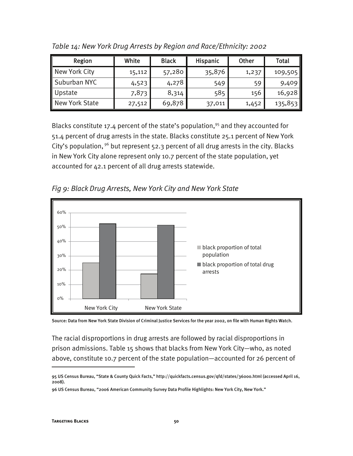| Region         | White  | <b>Black</b> | Hispanic | Other | Total   |
|----------------|--------|--------------|----------|-------|---------|
| New York City  | 15,112 | 57,280       | 35,876   | 1,237 | 109,505 |
| Suburban NYC   | 4,523  | 4,278        | 549      | 59    | 9,409   |
| Upstate        | 7,873  | 8,314        | 585      | 156   | 16,928  |
| New York State | 27,512 | 69,878       | 37,011   | 1,452 | 135,853 |

*Table 14: New York Drug Arrests by Region and Race/Ethnicity: 2002* 

Blacks constitute 17.4 percent of the state's population,<sup>95</sup> and they accounted for 51.4 percent of drug arrests in the state. Blacks constitute 25.1 percent of New York City's population,  $96$  but represent 52.3 percent of all drug arrests in the city. Blacks in New York City alone represent only 10.7 percent of the state population, yet accounted for 42.1 percent of all drug arrests statewide.



*Fig 9: Black Drug Arrests, New York City and New York State* 

Source: Data from New York State Division of Criminal Justice Services for the year 2002, on file with Human Rights Watch.

The racial disproportions in drug arrests are followed by racial disproportions in prison admissions. Table 15 shows that blacks from New York City—who, as noted above, constitute 10.7 percent of the state population—accounted for 26 percent of

I

<sup>95</sup> US Census Bureau, "State & County Quick Facts," http://quickfacts.census.gov/qfd/states/36000.html (accessed April 16, 2008).

<sup>96</sup> US Census Bureau, "2006 American Community Survey Data Profile Highlights: New York City, New York."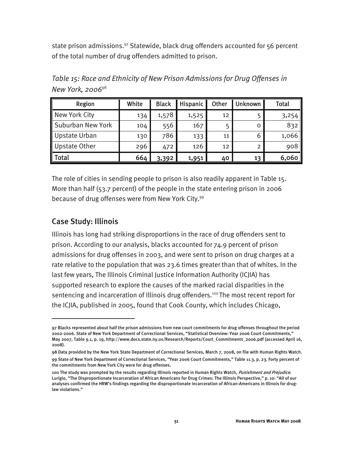state prison admissions.<sup>97</sup> Statewide, black drug offenders accounted for 56 percent of the total number of drug offenders admitted to prison.

Region | White | Black | Hispanic | Other | Unknown | Total New York City 134 1,578 1,525 12 5 3,254 Suburban New York 104 556 167 5 0 832

Upstate Urban | 130 | 786 | 133 | 11 | 130 | 1,066 Upstate Other  $\begin{bmatrix} 296 & 472 & 126 & 12 \end{bmatrix}$  2 908

Total 664 3,392 1,951 40 13 6,060

*Table 15: Race and Ethnicity of New Prison Admissions for Drug Offenses in New York, 2006*<sup>98</sup>

The role of cities in sending people to prison is also readily apparent in Table 15. More than half (53.7 percent) of the people in the state entering prison in 2006 because of drug offenses were from New York City.<sup>99</sup>

#### Case Study: Illinois

-

Illinois has long had striking disproportions in the race of drug offenders sent to prison. According to our analysis, blacks accounted for 74.9 percent of prison admissions for drug offenses in 2003, and were sent to prison on drug charges at a rate relative to the population that was 23.6 times greater than that of whites. In the last few years, The Illinois Criminal Justice Information Authority (ICJIA) has supported research to explore the causes of the marked racial disparities in the sentencing and incarceration of Illinois drug offenders.<sup>100</sup> The most recent report for the ICJIA, published in 2005, found that Cook County, which includes Chicago,

<sup>97</sup> Blacks represented about half the prison admissions from new court commitments for drug offenses throughout the period 2002-2006. State of New York Department of Correctional Services, "Statistical Overview: Year 2006 Court Commitments," May 2007, Table 9.1, p. 19, http://www.docs.state.ny.us/Research/Reports/Court\_Commitments\_2006.pdf (accessed April 16, 2008).

<sup>98</sup> Data provided by the New York State Department of Correctional Services, March 7, 2008, on file with Human Rights Watch.

<sup>99</sup> State of New York Department of Correctional Services, "Year 2006 Court Commitments," Table 11.3, p. 23. Forty percent of the commitments from New York City were for drug offenses.

<sup>100</sup> The study was prompted by the results regarding Illinois reported in Human Rights Watch, Punishment and Prejudice. Lurigio, "The Disproportionate Incarceration of African Americans for Drug Crimes: The Illinois Perspective," p. 10: "All of our analyses confirmed the HRW's findings regarding the disproportionate incarceration of African-Americans in Illinois for druglaw violations."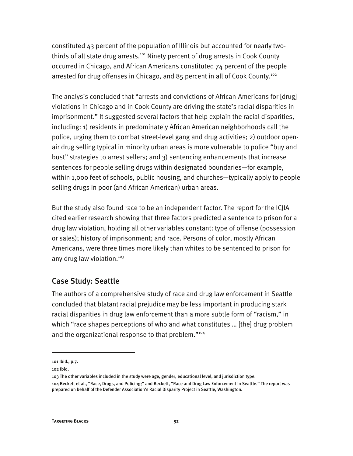constituted 43 percent of the population of Illinois but accounted for nearly twothirds of all state drug arrests.<sup>101</sup> Ninety percent of drug arrests in Cook County occurred in Chicago, and African Americans constituted 74 percent of the people arrested for drug offenses in Chicago, and 85 percent in all of Cook County.102

The analysis concluded that "arrests and convictions of African-Americans for [drug] violations in Chicago and in Cook County are driving the state's racial disparities in imprisonment." It suggested several factors that help explain the racial disparities, including: 1) residents in predominately African American neighborhoods call the police, urging them to combat street-level gang and drug activities; 2) outdoor openair drug selling typical in minority urban areas is more vulnerable to police "buy and bust" strategies to arrest sellers; and 3) sentencing enhancements that increase sentences for people selling drugs within designated boundaries—for example, within 1,000 feet of schools, public housing, and churches—typically apply to people selling drugs in poor (and African American) urban areas.

But the study also found race to be an independent factor. The report for the ICJIA cited earlier research showing that three factors predicted a sentence to prison for a drug law violation, holding all other variables constant: type of offense (possession or sales); history of imprisonment; and race. Persons of color, mostly African Americans, were three times more likely than whites to be sentenced to prison for any drug law violation.<sup>103</sup>

#### Case Study: Seattle

The authors of a comprehensive study of race and drug law enforcement in Seattle concluded that blatant racial prejudice may be less important in producing stark racial disparities in drug law enforcement than a more subtle form of "racism," in which "race shapes perceptions of who and what constitutes … [the] drug problem and the organizational response to that problem."<sup>104</sup>

-

<sup>101</sup> Ibid., p.7.

<sup>102</sup> Ibid.

<sup>103</sup> The other variables included in the study were age, gender, educational level, and jurisdiction type. 104 Beckett et al., "Race, Drugs, and Policing;" and Beckett, "Race and Drug Law Enforcement in Seattle." The report was prepared on behalf of the Defender Association's Racial Disparity Project in Seattle, Washington.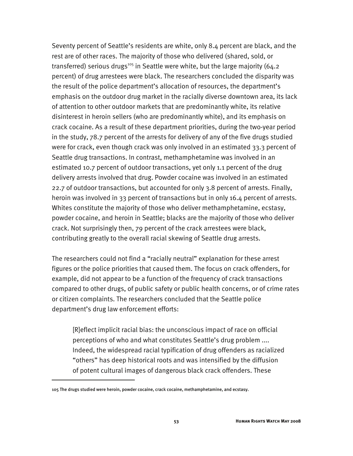Seventy percent of Seattle's residents are white, only 8.4 percent are black, and the rest are of other races. The majority of those who delivered (shared, sold, or transferred) serious drugs<sup>105</sup> in Seattle were white, but the large majority (64.2 percent) of drug arrestees were black. The researchers concluded the disparity was the result of the police department's allocation of resources, the department's emphasis on the outdoor drug market in the racially diverse downtown area, its lack of attention to other outdoor markets that are predominantly white, its relative disinterest in heroin sellers (who are predominantly white), and its emphasis on crack cocaine. As a result of these department priorities, during the two-year period in the study, 78.7 percent of the arrests for delivery of any of the five drugs studied were for crack, even though crack was only involved in an estimated 33.3 percent of Seattle drug transactions. In contrast, methamphetamine was involved in an estimated 10.7 percent of outdoor transactions, yet only 1.1 percent of the drug delivery arrests involved that drug. Powder cocaine was involved in an estimated 22.7 of outdoor transactions, but accounted for only 3.8 percent of arrests. Finally, heroin was involved in 33 percent of transactions but in only 16.4 percent of arrests. Whites constitute the majority of those who deliver methamphetamine, ecstasy, powder cocaine, and heroin in Seattle; blacks are the majority of those who deliver crack. Not surprisingly then, 79 percent of the crack arrestees were black, contributing greatly to the overall racial skewing of Seattle drug arrests.

The researchers could not find a "racially neutral" explanation for these arrest figures or the police priorities that caused them. The focus on crack offenders, for example, did not appear to be a function of the frequency of crack transactions compared to other drugs, of public safety or public health concerns, or of crime rates or citizen complaints. The researchers concluded that the Seattle police department's drug law enforcement efforts:

[R]eflect implicit racial bias: the unconscious impact of race on official perceptions of who and what constitutes Seattle's drug problem .... Indeed, the widespread racial typification of drug offenders as racialized "others" has deep historical roots and was intensified by the diffusion of potent cultural images of dangerous black crack offenders. These

-

<sup>105</sup> The drugs studied were heroin, powder cocaine, crack cocaine, methamphetamine, and ecstasy.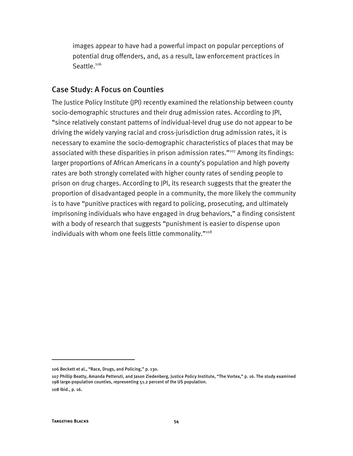images appear to have had a powerful impact on popular perceptions of potential drug offenders, and, as a result, law enforcement practices in Seattle.<sup>106</sup>

#### Case Study: A Focus on Counties

The Justice Policy Institute (JPI) recently examined the relationship between county socio-demographic structures and their drug admission rates. According to JPI, "since relatively constant patterns of individual-level drug use do not appear to be driving the widely varying racial and cross-jurisdiction drug admission rates, it is necessary to examine the socio-demographic characteristics of places that may be associated with these disparities in prison admission rates."<sup>107</sup> Among its findings: larger proportions of African Americans in a county's population and high poverty rates are both strongly correlated with higher county rates of sending people to prison on drug charges. According to JPI, its research suggests that the greater the proportion of disadvantaged people in a community, the more likely the community is to have "punitive practices with regard to policing, prosecuting, and ultimately imprisoning individuals who have engaged in drug behaviors," a finding consistent with a body of research that suggests "punishment is easier to dispense upon individuals with whom one feels little commonality."<sup>108</sup>

j

<sup>106</sup> Beckett et al., "Race, Drugs, and Policing," p. 130.

<sup>107</sup> Phillip Beatty, Amanda Petteruti, and Jason Ziedenberg, Justice Policy Institute, "The Vortex," p. 16. The study examined 198 large-population counties, representing 51.2 percent of the US population. 108 Ibid., p. 16.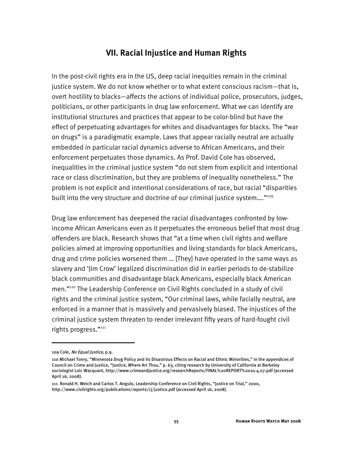#### **VII. Racial Injustice and Human Rights**

In the post-civil rights era in the US, deep racial inequities remain in the criminal justice system. We do not know whether or to what extent conscious racism—that is, overt hostility to blacks—affects the actions of individual police, prosecutors, judges, politicians, or other participants in drug law enforcement. What we can identify are institutional structures and practices that appear to be color-blind but have the effect of perpetuating advantages for whites and disadvantages for blacks. The "war on drugs" is a paradigmatic example. Laws that appear racially neutral are actually embedded in particular racial dynamics adverse to African Americans, and their enforcement perpetuates those dynamics. As Prof. David Cole has observed, inequalities in the criminal justice system "do not stem from explicit and intentional race or class discrimination, but they are problems of inequality nonetheless." The problem is not explicit and intentional considerations of race, but racial "disparities built into the very structure and doctrine of our criminal justice system...."<sup>109</sup>

Drug law enforcement has deepened the racial disadvantages confronted by lowincome African Americans even as it perpetuates the erroneous belief that most drug offenders are black. Research shows that "at a time when civil rights and welfare policies aimed at improving opportunities and living standards for black Americans, drug and crime policies worsened them … [They] have operated in the same ways as slavery and 'Jim Crow' legalized discrimination did in earlier periods to de-stabilize black communities and disadvantage black Americans, especially black American men."110 The Leadership Conference on Civil Rights concluded in a study of civil rights and the criminal justice system, "Our criminal laws, while facially neutral, are enforced in a manner that is massively and pervasively biased. The injustices of the criminal justice system threaten to render irrelevant fifty years of hard-fought civil rights progress."<sup>111</sup>

j

<sup>109</sup> Cole, No Equal Justice, p.9.

<sup>110</sup> Michael Tonry, "Minnesota Drug Policy and its Disastrous Effects on Racial and Ethnic Minorities," in the appendices of Council on Crime and Justice, "Justice, Where Art Thou," p. 63, citing research by University of California at Berkeley sociologist Loic Wacquant, http://www.crimeandjustice.org/researchReports/FINAL%20REPORT%2010.4.07.pdf (accessed April 16, 2008).

<sup>111</sup> Ronald H. Weich and Carlos T. Angulo, Leadership Conference on Civil Rights, "Justice on Trial," 2000, http://www.civilrights.org/publications/reports/cj/justice.pdf (accessed April 16, 2008).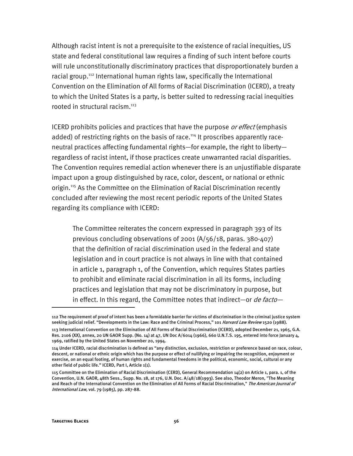Although racist intent is not a prerequisite to the existence of racial inequities, US state and federal constitutional law requires a finding of such intent before courts will rule unconstitutionally discriminatory practices that disproportionately burden a racial group.<sup>112</sup> International human rights law, specifically the International Convention on the Elimination of All forms of Racial Discrimination (ICERD), a treaty to which the United States is a party, is better suited to redressing racial inequities rooted in structural racism.<sup>113</sup>

ICERD prohibits policies and practices that have the purpose *or effect* (emphasis added) of restricting rights on the basis of race.<sup>114</sup> It proscribes apparently raceneutral practices affecting fundamental rights—for example, the right to liberty regardless of racist intent, if those practices create unwarranted racial disparities. The Convention requires remedial action whenever there is an unjustifiable disparate impact upon a group distinguished by race, color, descent, or national or ethnic origin.<sup>115</sup> As the Committee on the Elimination of Racial Discrimination recently concluded after reviewing the most recent periodic reports of the United States regarding its compliance with ICERD:

The Committee reiterates the concern expressed in paragraph 393 of its previous concluding observations of 2001 (A/56/18, paras. 380-407) that the definition of racial discrimination used in the federal and state legislation and in court practice is not always in line with that contained in article 1, paragraph 1, of the Convention, which requires States parties to prohibit and eliminate racial discrimination in all its forms, including practices and legislation that may not be discriminatory in purpose, but in effect. In this regard, the Committee notes that indirect—or *de facto*—

I

<sup>112</sup> The requirement of proof of intent has been a formidable barrier for victims of discrimination in the criminal justice system seeking judicial relief. "Developments in the Law: Race and the Criminal Process," 101 Harvard Law Review 1520 (1988).

<sup>113</sup> International Convention on the Elimination of All Forms of Racial Discrimination (ICERD), adopted December 21, 1965, G.A. Res. 2106 (XX), annex, 20 UN GAOR Supp. (No. 14) at 47, UN Doc A/6014 (1966), 660 U.N.T.S. 195, entered into force January 4, 1969, ratified by the United States on November 20, 1994.

<sup>114</sup> Under ICERD, racial discrimination is defined as "any distinction, exclusion, restriction or preference based on race, colour, descent, or national or ethnic origin which has the purpose or effect of nullifying or impairing the recognition, enjoyment or exercise, on an equal footing, of human rights and fundamental freedoms in the political, economic, social, cultural or any other field of public life." ICERD, Part I, Article 1(1).

<sup>115</sup> Committee on the Elimination of Racial Discrimination (CERD), General Recommendation 14(2) on Article 1, para. 1, of the Convention, U.N. GAOR, 48th Sess., Supp. No. 18, at 176, U.N. Doc. A/48/18(1993). See also, Theodor Meron, "The Meaning and Reach of the International Convention on the Elimination of All Forms of Racial Discrimination," The American Journal of International Law, vol. 79 (1985), pp. 287-88.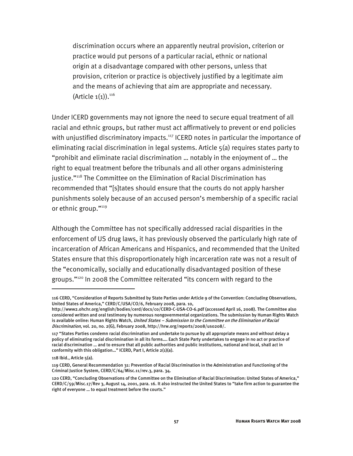discrimination occurs where an apparently neutral provision, criterion or practice would put persons of a particular racial, ethnic or national origin at a disadvantage compared with other persons, unless that provision, criterion or practice is objectively justified by a legitimate aim and the means of achieving that aim are appropriate and necessary. (Article  $1(1)$ ).<sup>116</sup>

Under ICERD governments may not ignore the need to secure equal treatment of all racial and ethnic groups, but rather must act affirmatively to prevent or end policies with unjustified discriminatory impacts.<sup>117</sup> ICERD notes in particular the importance of eliminating racial discrimination in legal systems. Article 5(a) requires states party to "prohibit and eliminate racial discrimination … notably in the enjoyment of … the right to equal treatment before the tribunals and all other organs administering justice."<sup>118</sup> The Committee on the Elimination of Racial Discrimination has recommended that "[s]tates should ensure that the courts do not apply harsher punishments solely because of an accused person's membership of a specific racial or ethnic group."119

Although the Committee has not specifically addressed racial disparities in the enforcement of US drug laws, it has previously observed the particularly high rate of incarceration of African Americans and Hispanics, and recommended that the United States ensure that this disproportionately high incarceration rate was not a result of the "economically, socially and educationally disadvantaged position of these groups."120 In 2008 the Committee reiterated "its concern with regard to the

I

<sup>116</sup> CERD, "Consideration of Reports Submitted by State Parties under Article 9 of the Convention: Concluding Observations, United States of America," CERD/C/USA/CO/6, February 2008, para. 10,

http://www2.ohchr.org/english/bodies/cerd/docs/co/CERD-C-USA-CO-6.pdf (accessed April 16, 2008). The Committee also considered written and oral testimony by numerous nongovernmental organizations. The submission by Human Rights Watch is available online: Human Rights Watch, United States - Submission to the Committee on the Elimination of Racial Discrimination, vol. 20, no. 2(G), February 2008, http://hrw.org/reports/2008/uso208/.

<sup>117 &</sup>quot;States Parties condemn racial discrimination and undertake to pursue by all appropriate means and without delay a policy of eliminating racial discrimination in all its forms…. Each State Party undertakes to engage in no act or practice of racial discrimination … and to ensure that all public authorities and public institutions, national and local, shall act in conformity with this obligation…" ICERD, Part I, Article 2(1)(a).

<sup>118</sup> Ibid., Article 5(a).

<sup>119</sup> CERD, General Recommendation 31: Prevention of Racial Discrimination in the Administration and Functioning of the Criminal Justice System, CERD/C/64/Misc.11/rev.3, para. 34.

<sup>120</sup> CERD, "Concluding Observations of the Committee on the Elimination of Racial Discrimination: United States of America," CERD/C/59/Misc.17/Rev 3, August 14, 2001, para. 16. It also instructed the United States to "take firm action to guarantee the right of everyone … to equal treatment before the courts."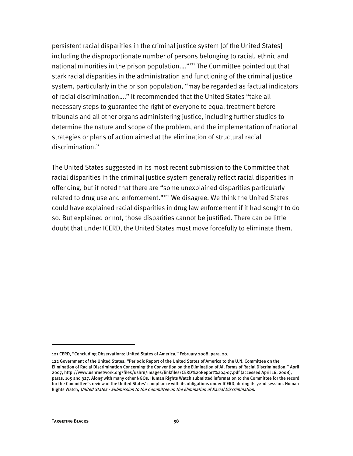persistent racial disparities in the criminal justice system [of the United States] including the disproportionate number of persons belonging to racial, ethnic and national minorities in the prison population...."<sup>121</sup> The Committee pointed out that stark racial disparities in the administration and functioning of the criminal justice system, particularly in the prison population, "may be regarded as factual indicators of racial discrimination…." It recommended that the United States "take all necessary steps to guarantee the right of everyone to equal treatment before tribunals and all other organs administering justice, including further studies to determine the nature and scope of the problem, and the implementation of national strategies or plans of action aimed at the elimination of structural racial discrimination."

The United States suggested in its most recent submission to the Committee that racial disparities in the criminal justice system generally reflect racial disparities in offending, but it noted that there are "some unexplained disparities particularly related to drug use and enforcement."<sup>122</sup> We disagree. We think the United States could have explained racial disparities in drug law enforcement if it had sought to do so. But explained or not, those disparities cannot be justified. There can be little doubt that under ICERD, the United States must move forcefully to eliminate them.

j

<sup>121</sup> CERD, "Concluding Observations: United States of America," February 2008, para. 20.

<sup>122</sup> Government of the United States, "Periodic Report of the United States of America to the U.N. Committee on the Elimination of Racial Discrimination Concerning the Convention on the Elimination of All Forms of Racial Discrimination," April 2007, http://www.ushrnetwork.org/files/ushrn/images/linkfiles/CERD%20Report%204-07.pdf (accessed April 16, 2008), paras. 165 and 327. Along with many other NGOs, Human Rights Watch submitted information to the Committee for the record for the Committee's review of the United States' compliance with its obligations under ICERD, during its 72nd session. Human Rights Watch, United States - Submission to the Committee on the Elimination of Racial Discrimination.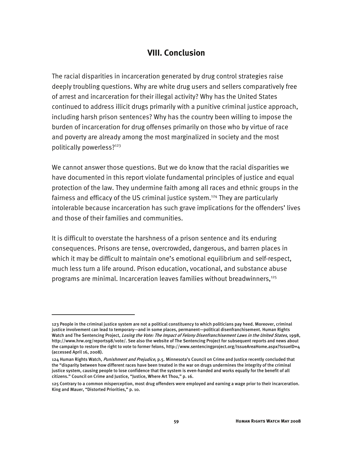#### **VIII. Conclusion**

The racial disparities in incarceration generated by drug control strategies raise deeply troubling questions. Why are white drug users and sellers comparatively free of arrest and incarceration for their illegal activity? Why has the United States continued to address illicit drugs primarily with a punitive criminal justice approach, including harsh prison sentences? Why has the country been willing to impose the burden of incarceration for drug offenses primarily on those who by virtue of race and poverty are already among the most marginalized in society and the most politically powerless?123

We cannot answer those questions. But we do know that the racial disparities we have documented in this report violate fundamental principles of justice and equal protection of the law. They undermine faith among all races and ethnic groups in the fairness and efficacy of the US criminal justice system.<sup>124</sup> They are particularly intolerable because incarceration has such grave implications for the offenders' lives and those of their families and communities.

It is difficult to overstate the harshness of a prison sentence and its enduring consequences. Prisons are tense, overcrowded, dangerous, and barren places in which it may be difficult to maintain one's emotional equilibrium and self-respect, much less turn a life around. Prison education, vocational, and substance abuse programs are minimal. Incarceration leaves families without breadwinners.<sup>125</sup>

I

<sup>123</sup> People in the criminal justice system are not a political constituency to which politicians pay heed. Moreover, criminal justice involvement can lead to temporary—and in some places, permanent—political disenfranchisement. Human Rights Watch and The Sentencing Project, Losing the Vote: The Impact of Felony Disenfranchisement Laws in the United States, 1998, http://www.hrw.org/reports98/vote/. See also the website of The Sentencing Project for subsequent reports and news about the campaign to restore the right to vote to former felons, http://www.sentencingproject.org/IssueAreaHome.aspx?IssueID=4 (accessed April 16, 2008).

<sup>124</sup> Human Rights Watch, Punishment and Prejudice, p.5. Minnesota's Council on Crime and Justice recently concluded that the "disparity between how different races have been treated in the war on drugs undermines the integrity of the criminal justice system, causing people to lose confidence that the system is even-handed and works equally for the benefit of all citizens." Council on Crime and Justice, "Justice, Where Art Thou," p. 16.

<sup>125</sup> Contrary to a common misperception, most drug offenders were employed and earning a wage prior to their incarceration. King and Mauer, "Distorted Priorities," p. 10.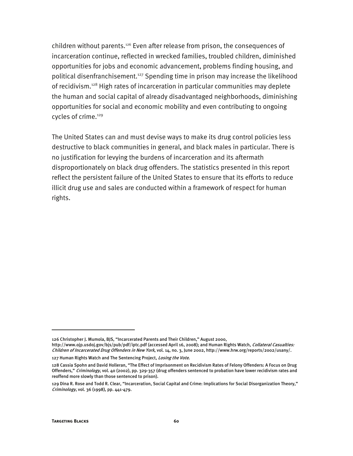children without parents.126 Even after release from prison, the consequences of incarceration continue, reflected in wrecked families, troubled children, diminished opportunities for jobs and economic advancement, problems finding housing, and political disenfranchisement.<sup>127</sup> Spending time in prison may increase the likelihood of recidivism.<sup>128</sup> High rates of incarceration in particular communities may deplete the human and social capital of already disadvantaged neighborhoods, diminishing opportunities for social and economic mobility and even contributing to ongoing cycles of crime.<sup>129</sup>

The United States can and must devise ways to make its drug control policies less destructive to black communities in general, and black males in particular. There is no justification for levying the burdens of incarceration and its aftermath disproportionately on black drug offenders. The statistics presented in this report reflect the persistent failure of the United States to ensure that its efforts to reduce illicit drug use and sales are conducted within a framework of respect for human rights.

-

<sup>126</sup> Christopher J. Mumola, BJS, "Incarcerated Parents and Their Children," August 2000,

http://www.ojp.usdoj.gov/bjs/pub/pdf/iptc.pdf (accessed April 16, 2008); and Human Rights Watch, Collateral Casualties: Children of Incarcerated Drug Offenders in New York, vol. 14, no. 3, June 2002, http://www.hrw.org/reports/2002/usany/.

<sup>127</sup> Human Rights Watch and The Sentencing Project, Losing the Vote.

<sup>128</sup> Cassia Spohn and David Holleran, "The Effect of Imprisonment on Recidivism Rates of Felony Offenders: A Focus on Drug Offenders," Criminology, vol. 40 (2002), pp. 329-357 (drug offenders sentenced to probation have lower recidivism rates and reoffend more slowly than those sentenced to prison).

<sup>129</sup> Dina R. Rose and Todd R. Clear, "Incarceration, Social Capital and Crime: Implications for Social Disorganization Theory," Criminology, vol. 36 (1998), pp. 441-479.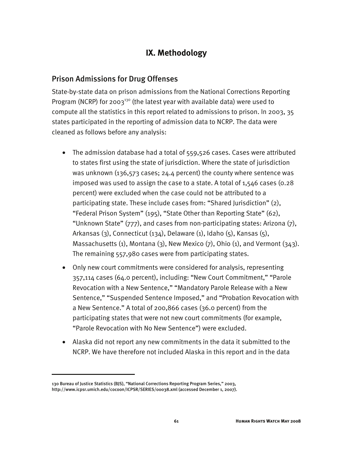### **IX. Methodology**

#### Prison Admissions for Drug Offenses

State-by-state data on prison admissions from the National Corrections Reporting Program (NCRP) for 2003<sup>130</sup> (the latest year with available data) were used to compute all the statistics in this report related to admissions to prison. In 2003, 35 states participated in the reporting of admission data to NCRP. The data were cleaned as follows before any analysis:

- The admission database had a total of 559,526 cases. Cases were attributed to states first using the state of jurisdiction. Where the state of jurisdiction was unknown (136,573 cases; 24.4 percent) the county where sentence was imposed was used to assign the case to a state. A total of 1,546 cases (0.28 percent) were excluded when the case could not be attributed to a participating state. These include cases from: "Shared Jurisdiction" (2), "Federal Prison System" (195), "State Other than Reporting State" (62), "Unknown State" (777), and cases from non-participating states: Arizona (7), Arkansas (3), Connecticut (134), Delaware (1), Idaho (5), Kansas (5), Massachusetts (1), Montana (3), New Mexico (7), Ohio (1), and Vermont (343). The remaining 557,980 cases were from participating states.
- Only new court commitments were considered for analysis, representing 357,114 cases (64.0 percent), including: "New Court Commitment," "Parole Revocation with a New Sentence," "Mandatory Parole Release with a New Sentence," "Suspended Sentence Imposed," and "Probation Revocation with a New Sentence." A total of 200,866 cases (36.0 percent) from the participating states that were not new court commitments (for example, "Parole Revocation with No New Sentence") were excluded.
- Alaska did not report any new commitments in the data it submitted to the NCRP. We have therefore not included Alaska in this report and in the data

j

<sup>130</sup> Bureau of Justice Statistics (BJS), "National Corrections Reporting Program Series," 2003, http://www.icpsr.umich.edu/cocoon/ICPSR/SERIES/00038.xml (accessed December 1, 2007).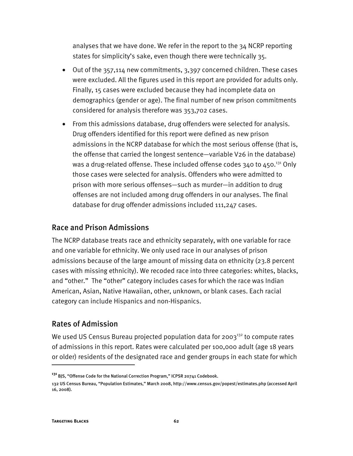analyses that we have done. We refer in the report to the 34 NCRP reporting states for simplicity's sake, even though there were technically 35.

- Out of the 357,114 new commitments, 3,397 concerned children. These cases were excluded. All the figures used in this report are provided for adults only. Finally, 15 cases were excluded because they had incomplete data on demographics (gender or age). The final number of new prison commitments considered for analysis therefore was 353,702 cases.
- From this admissions database, drug offenders were selected for analysis. Drug offenders identified for this report were defined as new prison admissions in the NCRP database for which the most serious offense (that is, the offense that carried the longest sentence—variable V26 in the database) was a drug-related offense. These included offense codes  $340$  to  $450.^{131}$  Only those cases were selected for analysis. Offenders who were admitted to prison with more serious offenses—such as murder—in addition to drug offenses are not included among drug offenders in our analyses. The final database for drug offender admissions included 111,247 cases.

#### Race and Prison Admissions

The NCRP database treats race and ethnicity separately, with one variable for race and one variable for ethnicity. We only used race in our analyses of prison admissions because of the large amount of missing data on ethnicity (23.8 percent cases with missing ethnicity). We recoded race into three categories: whites, blacks, and "other." The "other" category includes cases for which the race was Indian American, Asian, Native Hawaiian, other, unknown, or blank cases. Each racial category can include Hispanics and non-Hispanics.

#### Rates of Admission

We used US Census Bureau projected population data for 2003<sup>132</sup> to compute rates of admissions in this report. Rates were calculated per 100,000 adult (age 18 years or older) residents of the designated race and gender groups in each state for which

I

**<sup>131</sup>** BJS, "Offense Code for the National Correction Program," ICPSR 20741 Codebook.

<sup>132</sup> US Census Bureau, "Population Estimates," March 2008, http://www.census.gov/popest/estimates.php (accessed April 16, 2008).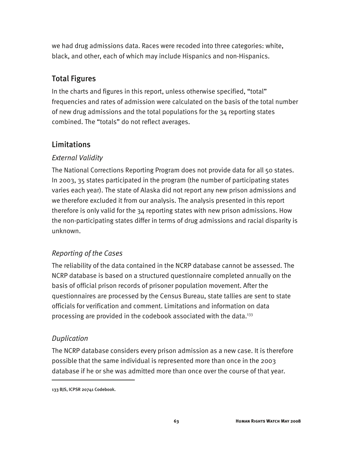we had drug admissions data. Races were recoded into three categories: white, black, and other, each of which may include Hispanics and non-Hispanics.

### Total Figures

In the charts and figures in this report, unless otherwise specified, "total" frequencies and rates of admission were calculated on the basis of the total number of new drug admissions and the total populations for the 34 reporting states combined. The "totals" do not reflect averages.

#### Limitations

#### *External Validity*

The National Corrections Reporting Program does not provide data for all 50 states. In 2003, 35 states participated in the program (the number of participating states varies each year). The state of Alaska did not report any new prison admissions and we therefore excluded it from our analysis. The analysis presented in this report therefore is only valid for the 34 reporting states with new prison admissions. How the non-participating states differ in terms of drug admissions and racial disparity is unknown.

#### *Reporting of the Cases*

The reliability of the data contained in the NCRP database cannot be assessed. The NCRP database is based on a structured questionnaire completed annually on the basis of official prison records of prisoner population movement. After the questionnaires are processed by the Census Bureau, state tallies are sent to state officials for verification and comment. Limitations and information on data processing are provided in the codebook associated with the data.<sup>133</sup>

#### *Duplication*

I

The NCRP database considers every prison admission as a new case. It is therefore possible that the same individual is represented more than once in the 2003 database if he or she was admitted more than once over the course of that year.

<sup>133</sup> BJS, ICPSR 20741 Codebook.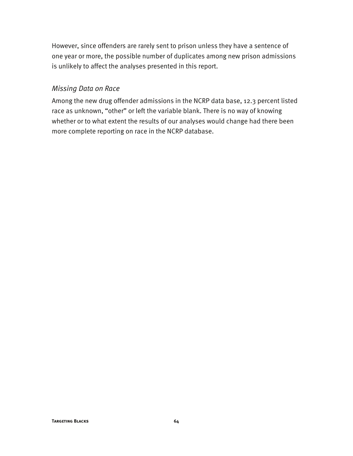However, since offenders are rarely sent to prison unless they have a sentence of one year or more, the possible number of duplicates among new prison admissions is unlikely to affect the analyses presented in this report.

#### *Missing Data on Race*

Among the new drug offender admissions in the NCRP data base, 12.3 percent listed race as unknown, "other" or left the variable blank. There is no way of knowing whether or to what extent the results of our analyses would change had there been more complete reporting on race in the NCRP database.